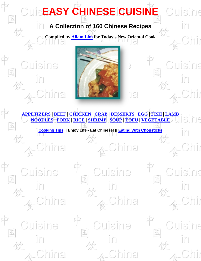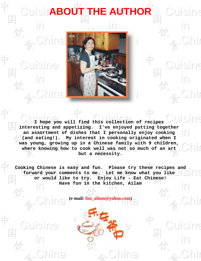# <span id="page-1-0"></span>**E** CuisiABOUT THE AUTHOR <sub>a</sub> Cuisine

发向

Cuisine

Cuisine

<sup>。"</sup><br>发,Ch

 $\frac{f}{f}$  cuisine

<sup>er</sup><br>Colu

。Chir

<sub>食</sub>-Chir

Cuisine

**全Chin** 

 $\frac{1}{2}$  in

F.

国

<sub>食</sub>Chir



**I hope you will find this collection of recipes interesting and appetizing. I've enjoyed putting together an assortment of dishes that I personally enjoy cooking (and eating!). My interest in cooking originated when I was young, growing up in a Chinese family with 9 children, where knowing how to cook well was not so much of an art but a necessity.**

**Cooking Chinese is easy and fun. Please try these recipes and forward your comments to me. Let me know what you like or would like to try. Enjoy Life - Eat Chinese!** 国 **Have fun in the kitchen, Ailam**

「<sub>企</sub>China

**(e-mail: lim\_ailam@yahoo.com)**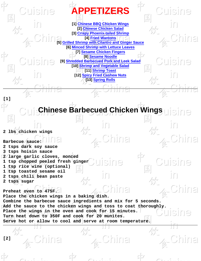<span id="page-2-2"></span><span id="page-2-1"></span><span id="page-2-0"></span>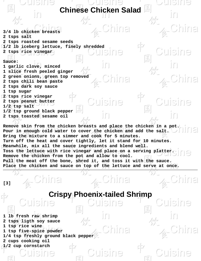## **Chinese Chicken Salad**

t<br>E

lanin'

Cuisine

 $\frac{4}{\sqrt{3}}$  Cuisine

Cuisine

Cuisine

China

- 於 **Example 3/4 lb chicken breasts 2 tsps salt 2 tsps roasted sesame seeds 1/2 lb iceberg lettuce, finely shredded 2 tsps rice vinegar Sauce: 1 garlic clove, minced** frfr **1 slice fresh peeled ginger 2 green onions, green top removed 2 tsps chili bean paste 2 tsps dark soy sauce**
	- **1 tsp sugar**
	- **2 tsps rice vinegar**
	- **2 tsps peanut butter**
	- **1/2 tsp salt**
	- $\frac{f^2}{\sigma^2}$  Cuisine **1/2 tsp ground black pepper**

കୁ China

Cuisine

**2 tsps toasted sesame oil**

**Remove skin from the chicken breasts and place the chicken in a pot. Pour in enough cold water to cover the chicken and add the salt. Bring the mixture to a simmer and cook for 5 minutes. Turn off the heat and cover tightly, let it stand for 10 minutes. Meanwhile, mix all the sauce ingredients and blend well. Toss the lettuce with rice vinegar and place on a serving platter. Remove the chicken from the pot and allow to cool. Pull the meat off the bone, shred it, and toss it with the sauce. Place the chicken and sauce on top of the lettuce and serve at once.**

<span id="page-3-0"></span>**[3]**

#### **Crispy Phoenix-tailed Shrimp**

Cuisine

Cuisine

China

**一食China** 

**1 lb fresh raw shrimp 2 tsps ligth soy sauce 1 tsp rice wine 1 tsp five-spice powder 1/4 tsp freshly ground black pepper 2 cups cooking oil 1/2 cup cornstarch**

ouisine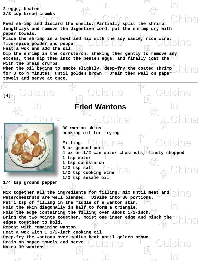<span id="page-4-0"></span>**2 eggs, beaten 2/3 cup bread crumbs Peel shrimp and discard the shells. Partially split the shrimp lengthways and remove the digestive cord. pat the shrimp dry with paper towels. Place the shrimp in a bowl and mix with the soy sauce, rice wine, five-spice powder and pepper. Heat a wok and add the oil. Dip the shrimp in the cornstarch, shaking them gently to remove any excess, then dip them into the beaten eggs, and finally coat the with the bread crumbs. When the oil begins to smoke slightly, deep-fry the coated shrimp for 3 to 4 minutes, until golden brown. Drain them well on paper towels and serve at once.**  $\mathbb{E}\in\mathbb{E}^{n}$  Cuisine  $\frac{1}{\sqrt{4}}$  Cuisine Cuisine **Fried Wantons** <sub>s</sub>\_China ∣ China -**30 wanton skins cooking oil for frying** Cuisine **Filling: 6 oz ground pork 4 oz or 1/2 can water chestnuts, finely chopped 1 tsp water 1 tsp cornstarch 1/2 tsp salt 1/2 tsp cooking wine 1/2 tsp sesame oil 1/4 tsp ground pepper Mix together all the ingredients for filling, mix until meat and waterchestnuts are well blended. Divide into 30 portions. Put 1 tsp of filling in the middle of a wanton skin. Fold the skin diagonally in half to form a triangle. Fold the edge containing the filling over about 1/2-inch. Bring the two points together, moist one inner edge and pinch the edges together to hold. Repeat with remaining wanton. Heat a wok with 1 1/2-inch cooking oil. Deep-fry the wantons over medium heat until golden brown. Drain on paper towels and serve. Makes 30 wantons.**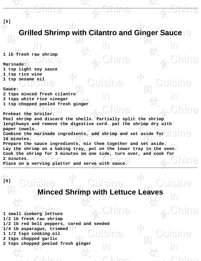**Grilled Shrimp with Cilantro and Ginger Sauce**

lsnint

isine

 $rac{1}{\sqrt{15}}$ 

徐

**1 lb fresh raw shrimp**

#### **Marinade:**

**1 tsp light soy sauce**

- **1 tsp rice wine**
- **1 tsp sesame oil**

#### **Sauce:**

<span id="page-5-1"></span>**[6]**

<span id="page-5-0"></span>**[5]**

**2 tsps minced fresh cilantro**

치 마당미 1년

- **2 tsps white rice vinegar**
- **1 tsp chopped peeled fresh ginger**

.China -**Preheat the broiler. Peel shrimp and discard the shells. Partially split the shrimp lengthways and remove the digestive cord. pat the shrimp dry with paper towels. Combine the marinade ingredients, add shrimp and set aside for 10 minutes. Prepare the sauce ingredients, mix them together and set aside.** Lay the shrimp on a baking tray, put on the lower tray in the oven.

**Cook the shrimp for 3 minutes on one side, turn over, and cook for** 

**2 minutes. Place on a serving platter and serve with sauce.**

## Cuisine **Minced Shrimp with Lettuce Leaves**

Cuisine

<sub>ക</sub>\_China − **1 small iceberg lettuce 1/2 lb fresh raw shrimp 1/2 lb red bell peppers, cored and seeded 1/4 lb asparagus, trimmed 1 1/2 tsps cooking oil 2 tsps chopped garlic 2 tsps chopped peeled fresh ginger**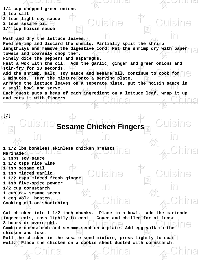<span id="page-6-0"></span>**1/4 cup chopped green onions 1 tsp salt 2 tsps light soy sauce 2 tsps sesame oil 1/4 cup hoisin sauce Wash and dry the lettuce leaves. Peel shrimp and discard the shells. Partially split the shrimp lengthways and remove the digestive cord. Pat the shrimp dry with paper towels and coarsely chop them. Finely dice the peppers and asparagus. Heat a wok with the oil. Add the garlic, ginger and green onions and**  난 **stir-fry for 10 seconds. Add the shrimp, salt, soy sauce and sesame oil, continue to cook for 2 minutes. Turn the mixture onto a serving plate. Arrange the lettuce leaves on a seperate plate, put the hoisin sauce in a small bowl and serve.** ムム **Each guest puts a heap of each ingredient on a lettuce leaf, wrap it up and eats it with fingers. [7] SINE** Sesame Chicken Fingers **1 1/2 lbs boneless skinless chicken breasts Marinade: 2 tsps soy sauce 1 1/2 tsps rice wine 1 tsp sesame oil 1 tsp minced garlic 1 1/2 tsps minced fresh ginger 1 tsp five-spice powder 1/2 cup cornstarch 1 cup raw sesame seeds 1 egg yolk, beaten Cooking oil or shortening Cut chicken into 1 1/2-inch chunks. Place in a bowl, add the marinade ingredients, toss lightly to coat. Cover and chilled for at least 3 hours or overnight.**  $\sim$ **Combine cornstarch and sesame seed on a plate. Add egg yolk to the chicken and toss. Roll the chicken in the sesame seed mixture, press lightly to coat well. Place the chicken on a cookie sheet dusted with cornstarch.**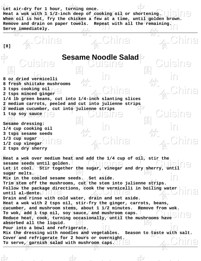<span id="page-7-0"></span>**Let air-dry for 1 hour, turning once. Heat a wok with 1 1/2-inch deep of cooking oil or shortening. When oil is hot, fry the chicken a few at a time, until golden brown. Remove and drain on paper towels. Repeat with all the remaining. Serve immediately.** ∕<sub>ଈ</sub>−China <sub>ĝ⊱</sub>China **[8] Sesame Noodle Salad** Cuisine **8 oz dried vermicelli 8 fresh shiitake mushrooms 3 tsps cooking oil 2 tsps minced ginger 1/4 lb green beans, cut into 1/4-inch slanting slices 2 medium carrots, peeled and cut into julienne strips 2 medium cucumber, cut into julienne strips 1 tsp soy sauce Sesame dressing: 1/4 cup cooking oil 3 tsps sesame seeds 1/3 cup sugar** <sub>≱-</sub>China **1/2 cup vinegar 2 tsps dry sherry Heat a wok over medium heat and add the 1/4 cup of oil, stir the sesame seeds until golden.**  illaine **Let it cool. Stir together the sugar, vinegar and dry sherry, until sugar melts. Mix in the cooled sesame seeds. Set aside. Trim stem off the mushrooms, cut the stem into julienne strips. Follow the package directions, cook the vermicelli in boiling water until al-dente. Drain and rinse with cold water, drain and set aside. Heat a wok with 2 tsps oil, stir-fry the ginger, carrots, beans, cucumber, and mushroom stems, about 1 1/2 minutes. Remove from wok. To wok, add 1 tsp oil, soy sauce, and mushroom caps. Reduce heat, cook, turning occasionally, until the mushrooms have absorbed all the liquid. Pour into a bowl and refrigerate. Mix the dressing with noodles and vegetables. Season to taste with salt. Cover and refrigerate for 2 hours or overnight.** enina **To serve, garnish salad with mushroom caps.**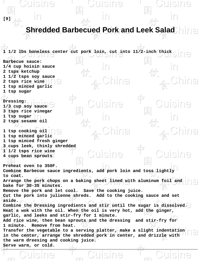<span id="page-8-0"></span>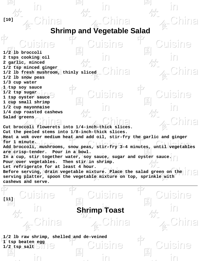<span id="page-9-0"></span>**Exacchina** <sub>≱-</sub>China **[10] Shrimp and Vegetable Salad** Cuisine <sup>竹</sup>園 Cuisine Cuisine **1/2 lb broccoli** 一<br> 徐 <sup>in</sup> **2 tsps cooking oil 2 garlic, minced** <sub>企</sub>China **1/2 tsp minced ginger 1/2 lb fresh mushroom, thinly sliced 1/2 lb snow peas 1/3 cup water**  $\frac{4}{10}$  Cuisine  $\frac{f}{\mathbb{E}}$  Cuisine **1 tsp soy sauce 1/2 tsp sugar 1 tsp oyster sauce 1 cup small shrimp 1/2 cup mayonnaise 1/4 cup roasted cashews Salad greens** <sub>∕ଈ</sub>china **Cut broccoli flowerets into 1/4-inch-thick slices. Cut the peeled stems into 1/8-inch-thick slices. Heat a wok over medium heat and add oil, stir-fry the garlic and ginger for 1 minute. Add broccoli, mushrooms, snow peas, stir-fry 3-4 minutes, until vegetables are crisp-tender. Pour in a bowl.** In a cup, stir together water, soy sauce, sugar and oyster sauce. Pour over vegetables. Then stir in shrimp. **Let refrigerate for at least 4 hour.**  Before serving, drain vegetable mixture. Place the salad green on the **serving platter, spoon the vegetable mixture on top, sprinkle with cashews and serve. [11]** 国 Cuisine  $^{\mathrm{\mathcal{T}}}$   $\equiv$  , Cuisine

**Shrimp Toast**

**TA** China

**E** Cuisine

**1/2 lb raw shrimp, shelled and de-veined 1 tsp beaten egg** Cuisine  $1/2$  tsp salt  $\Box$ 

<span id="page-9-1"></span>**A**China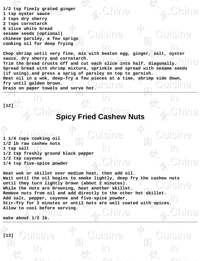<span id="page-10-1"></span><span id="page-10-0"></span>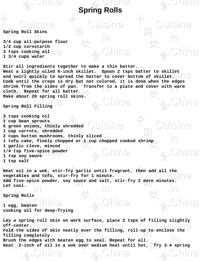**Spring Rolls** isine isine **Spring Roll Skins 3/4 cup all-purpose flour 1/2 cup cornstarch** China **3 tsps cooking oil 1 3/4 cups water Stir all ingredients together to make a thin batter. Heat a lightly oiled 6-inch skillet. Spoon 2 tsps batter to skillet**  and swirl quickly to spread the batter to cover bottom of skillet.  $\text{min}$ **Cook until the crepe is dry but not colored, it is done when the edges shrink from the sides of pan. Transfer to a plate and cover with warm cloth.** Repeat for all batter. **Make about 20 spring roll skins.** <sub>ka</sub>China **Spring Roll Filling 3 tsps cooking oil 1 cup bean sprouts 6 green onions, thinly shredded** CUISING **1 cup carrots, shredded 2 cups button mushrooms, thinly sliced 1 tofu cake, finely chopped or 1 cup chopped cooked shrimp 1 garlic clove, minced** <sub>食</sub>China **1/4 tsp five-spice powder 1 tsp soy sauce 1 tsp salt Heat oil in a wok, stir-fry garlic until fragrant, then add all the vegetables and tofu, stir-fry for 1 minute. Add five-spice powder, soy sauce and salt, stir-fry 2 more minutes. Let cool.** 饮<br>《《China》 **Spring Rolls 1 egg, beaten cooking oil for deep-frying Lay a spring roll skin on work surface, place 2 tsps of filling slightly**   $\mathsf{off\text{-}}\mathsf{center.} || \textcolor{red}{\mathbb{C}} || \textcolor{red}{\cap} \textcolor{red}{\mathbb{C}}$  $\sim$   $\sim$   $\sim$  $\mathcal{L}$ LIRINA. **Fold the sides of skin neatly over the filling, roll-up to enclose the filling completely. Brush the edges with beaten egg to seal. Repeat for all. Heat 2-inch of oil in a wok over medium heat until hot, fry 3-4 spring**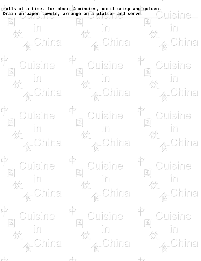| rolls at a time, for about 4 minutes, until crisp and golden.<br>Drain on paper towels, arrange on a platter and serve.<br>lisine    |                                                                                                                                                                                                                                                                                                                                                                                                                                                                        |                                                                                                                                                           |
|--------------------------------------------------------------------------------------------------------------------------------------|------------------------------------------------------------------------------------------------------------------------------------------------------------------------------------------------------------------------------------------------------------------------------------------------------------------------------------------------------------------------------------------------------------------------------------------------------------------------|-----------------------------------------------------------------------------------------------------------------------------------------------------------|
| 国<br>一饮<br>食 <sup>China</sup>                                                                                                        | $\epsilon$ China                                                                                                                                                                                                                                                                                                                                                                                                                                                       | <b>TAChina</b>                                                                                                                                            |
| $\begin{array}{c} \mathbb{F}_{\mathbb{R}} \ \mathbb{E}_{\mathbb{R}} \ \mathbb{E}_{\mathbb{R}} \ \mathbb{E}_{\mathbb{R}} \end{array}$ |                                                                                                                                                                                                                                                                                                                                                                                                                                                                        | -<br>- China                                                                                                                                              |
| 中国Cuisine<br>A.China                                                                                                                 | $\begin{array}{c}\n\mathbf{r} \\ \hline\n\mathbf{r} \\ \mathbf{r} \\ \mathbf{r} \\ \mathbf{r} \\ \mathbf{r} \\ \mathbf{r} \\ \mathbf{r} \\ \mathbf{r} \\ \mathbf{r} \\ \mathbf{r} \\ \mathbf{r} \\ \mathbf{r} \\ \mathbf{r} \\ \mathbf{r} \\ \mathbf{r} \\ \mathbf{r} \\ \mathbf{r} \\ \mathbf{r} \\ \mathbf{r} \\ \mathbf{r} \\ \mathbf{r} \\ \mathbf{r} \\ \mathbf{r} \\ \mathbf{r} \\ \mathbf{r} \\ \mathbf{r} \\ \mathbf{r} \\ \mathbf{r} \\ \mathbf{r$<br>全 China | $\begin{array}{c}\n\mathbf{\hat{F}}_{\mathbf{\underline{F}}} & \text{Cuisine} \\ \mathbf{\hat{F}}_{\mathbf{\hat{W}}_{\text{in}}}\n\end{array}$<br>金 China |
|                                                                                                                                      | 中国<br>一致 in<br>Cuisine<br>ะ<br>ผู้ China                                                                                                                                                                                                                                                                                                                                                                                                                               | 中国Cun<br>Cuisine<br>in.<br>·<br>食China                                                                                                                    |
|                                                                                                                                      | $\begin{array}{c}\n\mathbf{\hat{F}}_{\mathbf{\hat{E}}_{j}} & \text{Cuisine} \\ \mathbf{\hat{E}}_{\mathbf{\hat{W}}_{\mathbf{\hat{E}}}} & \text{in} \\ \mathbf{\hat{E}} & \text{china}\n\end{array}$                                                                                                                                                                                                                                                                     |                                                                                                                                                           |
|                                                                                                                                      |                                                                                                                                                                                                                                                                                                                                                                                                                                                                        |                                                                                                                                                           |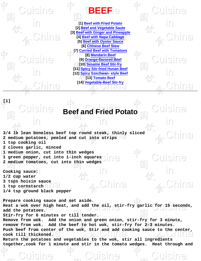<span id="page-13-1"></span><span id="page-13-0"></span>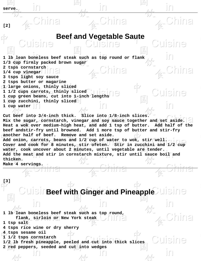<span id="page-14-1"></span><span id="page-14-0"></span>**serve.** China China **[2] Beef and Vegetable Saute** Cuisine **1 lb lean boneless beef steak such as top round or flank 1/3 cup firmly packed brown sugar 2 tsps cornstarch** <sub>a⊱</sub>China **1/4 cup vinegar 3 tsps light soy sauce 2 tsps butter or magarine 1 large onions, thinly sliced 1 1/2 cups carrots, thinly sliced 1 cup green beans, cut into 1-inch lengths 1 cup zucchini, thinly sliced 1 cup water Cut beef into 3/4-inch thick. Slice into 1/8-inch slices. Mix the sugar, cornstarch, vinegar and soy sauce together and set aside. Heat a wok over medium-high heat, and add 1 tsp of butter. Add half of the beef andstir-fry until browned. Add 1 more tsp of butter and stir-fry another half of beef. Remove and set aside. Add onion, carrots, beans and 1/2 cup of water to wok, stir well. Cover and cook for 8 minutes, stir ofeten. Stir in zucchini and 1/2 cup water, cook uncover about 2 minutes, until vegetable are tender. Add the meat and stir in cornstarch mixture, stir until sauce boil and thicken. Make 4 servings. [3] CuisirBeef with Ginger and Pineapple** Lisine **1 lb lean boneless beef steak such as top round, flank, sirloin or New York steak 1 tsp salt 4 tsps rice wine or dry sherry 4 tsps sesame oil 1 1/2 tsps cornstarch 1/2 lb fresh pineapple, peeled and cut into thick slices 2 red peppers, seeded and cut into wedges**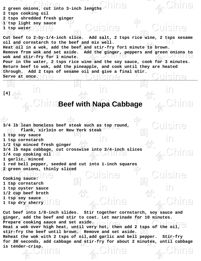<span id="page-15-0"></span>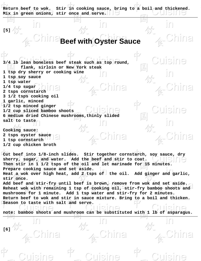**Return beef to wok. Stir in cooking sauce, bring to a boil and thickened. Mix in green onions, stir once and serve.**

# **Beef with Oyster Sauce**

Cuisine

ISIL

**3/4 lb lean boneless beef steak such as top round, flank, sirloin or New York steak 1 tsp dry sherry or cooking wine 1 tsp soy sauce 1 tsp water** <sub>≱-</sub>China -**1/4 tsp sugar 2 tsps cornstarch 3 1/2 tsps cooking oil 1 garlic, minced**  $\frac{f}{\mathbb{E}}$  Cuisine **1/2 tsp minced ginger 1/2 cup sliced bamboo shoots 6 medium dried Chinese mushrooms,thinly slided salt to taste Cooking sauce:** <sub>ക</sub>China **2 tsps oyster sauce 1 tsp cornstarch 1/2 cup chicken broth Cut beef into 1/8-inch slides. Stir together cornstarch, soy sauce, dry sherry, sugar, and water. Add the beef and stir to coat. Then stir in 1 1/2 tsps of the oil and let marinade for 15 minutes.**

ina

<span id="page-16-0"></span> $[5]$   $\sqrt[4]{\frac{1}{4}}$ 

<span id="page-16-1"></span>**[6]**

**Prepare cooking sauce and set aside.** Heat a wok over high heat, add 2 tsps of the oil. Add ginger and garlic, **stir once.** 

**Add beef and stir-fry until beef is brown, remove from wok and set aside. Reheat wok with remaining 1 tsp of cooking oil, stir-fry bamboo shoots and mushrooms for 1 minute. Add 1 tsp water and stir-fry for 2 minutes. Return beef to wok and stir in sauce mixture. Bring to a boil and thicken. Season to taste with salt and serve.**

**note: bamboo shoots and mushroom can be substituted with 1 lb of asparagus.**

ina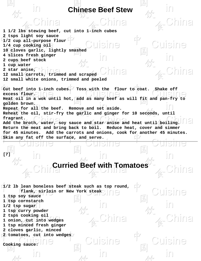**Chinese Beef Stew**

## k China

<span id="page-17-0"></span>China **1 1/2 lbs stewing beef, cut into 1-inch cubes 2 tsps light soy sauce 1/2 cup all-purpose flour** isine **1/4 cup cooking oil 10 cloves garlic, lightly smashed 4 slices fresh ginger 2 cups beef stock 1 cup water** China **2 star anise, 12 small carrots, trimmed and scraped 12 small white onions, trimmed and peeled Cut beef into 1-inch cubes. Toss with the flour to coat. Shake off excess flour.** sıne sıne **Heat oil in a wok until hot, add as many beef as will fit and pan-fry to golden brown.**  Repeat for all the beef. Remove and set aside. **Reheat the oil, stir-fry the garlic and ginger for 10 seconds, until fragrant. Add the broth, water, soy sauce and star anise and heat until boiling. Return the meat and bring back to boil. Reduce heat, cover and simmer for 45 minutes. Add the carrots and onions, cook for another 45 minutes. Skim any fat off the surface, and serve. [7] Curried Beef with Tomatoes 1/2 lb lean boneless beef steak such as top round, flank, sirloin or New York steak 1 tsp soy sauce 1 tsp cornstarch** 饮血 **1/2 tsp sugar 1 tsp curry powder 2 tsps cooking oil** isnir **1 onion, cut into wedges 1 tsp minced fresh ginger 2 cloves garlic, minced 2 tomatoes, cut into wedges Cooking sauce:**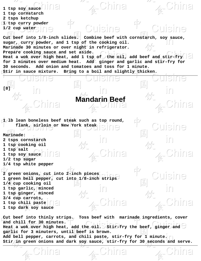<span id="page-18-0"></span>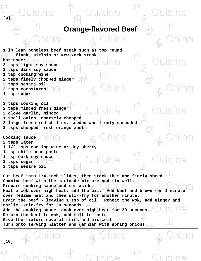<span id="page-19-1"></span><span id="page-19-0"></span>

| T <sub>ri</sub> Cuisine                                                                    | T <sub>国</sub> Cuisine 「 <sub>国</sub> Cuisine                           |                      |  |
|--------------------------------------------------------------------------------------------|-------------------------------------------------------------------------|----------------------|--|
|                                                                                            | <b>Orange-flavored Beef</b>                                             | 一条 10                |  |
| ⁄ <sub>≹-</sub> China                                                                      | ∦ China                                                                 | 金China               |  |
| 1 lb lean boneless beef steak such as top round,                                           |                                                                         |                      |  |
| flank, sirloin or New York steak<br>Marinade: IIISING                                      |                                                                         |                      |  |
| 2 tsps light soy sauce                                                                     | T <sub>ran</sub> Cuisine                                                | E Cuisine            |  |
| 2 tsps dark soy sauce<br>1 tsp cooking wine                                                |                                                                         |                      |  |
| 2 tsps finely chopped ginger $\sqrt{2}$                                                    |                                                                         |                      |  |
| 2 tsps sesame oil                                                                          | <sub>企</sub> China                                                      | 、<br>《 China         |  |
| 2 tsps cornstarch $\boxed{\Box}$<br>1 tsp sugar                                            |                                                                         |                      |  |
| 3 tsps cooking oil                                                                         |                                                                         |                      |  |
| 2 tsps minced fresh ginger                                                                 | Cuisine                                                                 | 国 Cuisine            |  |
| 2 clove garlic, minced                                                                     |                                                                         |                      |  |
| 1 small onion, coarsely chopped                                                            | 2 large fresh red chilies, seeded and finely shredded                   |                      |  |
| 2 tsps chopped fresh orange zest                                                           |                                                                         |                      |  |
| Cooking sauce: [                                                                           | China                                                                   |                      |  |
| 2 tsps water                                                                               |                                                                         |                      |  |
| 1 1/2 tsps cooking wine or dry sherry<br>1 tsp chile bean paste                            |                                                                         |                      |  |
| 1 tsp dark soy sauce                                                                       |                                                                         |                      |  |
| 2 tsps sugar $\bigcirc$ $\bigcup$                                                          | $\frac{f}{\mathbb{E}}$ Cuisine $\frac{f}{\mathbb{E}}$ Cuisine           |                      |  |
| 2 tsps sesame oil                                                                          |                                                                         |                      |  |
| Cut beef into 1/4-inch slides, then stack them and finely shred.                           |                                                                         |                      |  |
| Prepare cooking sauce and set aside.                                                       | Combine beef with the marinade mixture and mix well.                    |                      |  |
|                                                                                            | Heat a wok over high heat, add the oil. Add beef and brown for 1 minute |                      |  |
|                                                                                            | over medium heat and then stir-fry for another minute.                  |                      |  |
| garlic, stir-fry for 20 seconds.                                                           | Drain the beef - leaving 1 tsp of oil. Reheat the wok, add ginger and   |                      |  |
|                                                                                            | Add the cooking sauce, cook over high heat for 30 seconds. $\bigcup$    |                      |  |
| Return the beef to wok, add salt to taste.<br>Give the mixture several stirs and mix well. |                                                                         |                      |  |
| Turn onto serving platter and garnish with spring onions.                                  |                                                                         |                      |  |
|                                                                                            |                                                                         |                      |  |
| China<br>$[10]$                                                                            | ั <sub>∕≵</sub> China                                                   | <b>Enina</b>         |  |
| Cuisine                                                                                    | Cuisine <sup>- 9</sup>                                                  | <sup>1</sup> Cuisine |  |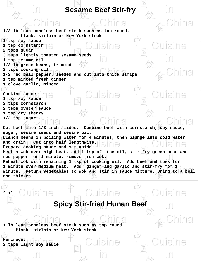#### **Sesame Beef Stir-fry**

## ∡\_China

 $\tilde{\Pi}$ 

s China – **1/2 lb lean boneless beef steak such as top round, flank, sirloin or New York steak** 宇 **1 tsp soy sauce** Cuisine **1 tsp cornstarch 2 tsps sugar 3 tsps lightly toasted sesame seeds 1 tsp sesame oil 1/2 lb green beans, trimmed 2 tsps cooking oil 1/2 red bell pepper, seeded and cut into thick strips 1 tsp minced fresh ginger 1 clove garlic, minced**  $\frac{f}{\mathbb{E}}$  Cuisine **E** Cuisine **Cooking sauce: 1 tsp soy sauce 2 tsps cornstarch 2 tsps oyster sauce 1 tsp dry sherry 1/2 tsp sugar** China **Cut beef into 1/8-inch slides. Combine beef with cornstarch, soy sauce, sugar, sesame seeds and sesame oil. Blanch beans in boiling water for 4 minutes, then plunge into cold water and drain. Cut into half lengthwise.**  sine **Prepare cooking sauce and set aside.**

**Heat a wok over high heat, add 1 tsp of the oil, stir-fry green bean and red pepper for 1 minute, remove from wok. Reheat wok with remaining 1 tsp of cooking oil. Add beef and toss for** 

**1 minute over medium heat. Add ginger and garlic and stir-fry for 1 minute. Return vegetables to wok and stir in sauce mixture. Bring to a boil and thicken.** 

<span id="page-20-0"></span>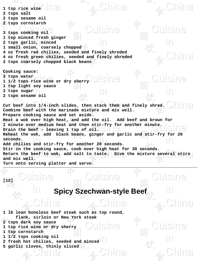<span id="page-21-0"></span>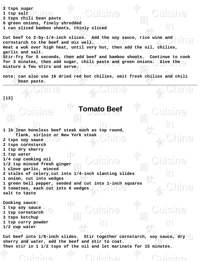<span id="page-22-0"></span>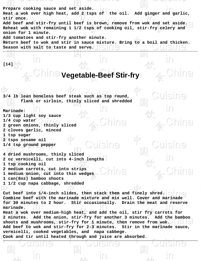<span id="page-23-0"></span>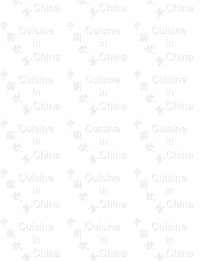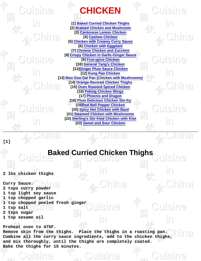<span id="page-25-0"></span>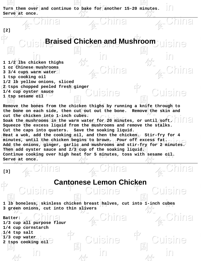**Turn them over and continue to bake for another 15-20 minutes. Serve at once.**

**[2] Braised Chicken and Mushroom 1 1/2 lbs chicken thighs 1 oz Chinese mushrooms** ina **3 3/4 cups warm water 1 tsp cooking oil 1/2 lb yellow onions, sliced 2 tsps chopped peeled fresh ginger** Cuisine **1/4 cup oyster sauce 1 tsp sesame oil Remove the bones from the chicken thighs by running a knife through to**  the bone on each side, then cut out out the bone. Remove the skin and **cut the chicken into 1-inch cubes. Soak the mushrooms in the warm water for 20 minutes, or until soft. Squeeze the excess liquid from the mushrooms and remove the stalks. Cut the caps into quaters. Save the soaking liquid.** Heat a wok, add the cooking oil, and then the chicken. Stir-fry for 4 **minutes, until the chicken begins to brown. Pour off excess fat. Add the onions, ginger, garlic and mushrooms and stir-fry for 2 minutes. Then add oyster sauce and 2/3 cup of the soaking liquid. Continue cooking over high heat for 5 minutes, toss with sesame oil. Serve at once.** China inina **[3] Cantonese Lemon Chicken** Cuisine Cuisine Cuisine **1 lb boneless, skinless chicken breast halves, cut into 1-inch cubes 3 green onions, cut into thin slivers** <sub>ĝ</sub>\_China

**Batter: 1/3 cup all purpose flour 1/4 cup cornstarch 1/4 tsp salt 1/3 cup water**

**2 tsps cooking oil**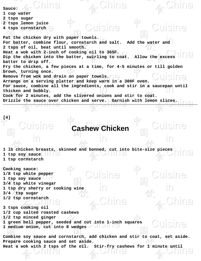isnin **Sauce: 1 cup water 2 tsps sugar 2 tsps lemon juice 4 tsps cornstarch Pat the chicken dry with paper towels. For batter, combine flour, cornstarch and salt. Add the water and 2 tsps of oil, beat until smooth. Heat a wok with 2-inch of cooking oil to 365F.**  Dip the chicken into the batter, swirling to coat. Allow the excess **batter to drip off. Fry the chicken, a few pieces at a time, for 4-5 minutes or till golden brown, turning once. Remove from wok and drain on paper towels. Arrange on a serving platter and keep warm in a 300F oven. For sauce, combine all the ingredients, cook and stir in a saucepan until thicken and bubbly. Cook for 2 minutes, add the slivered onions and stir to coat. Drizzle the sauce over chicken and serve. Garnish with lemon slices. [4] Cashew Chicken 1 lb chicken breasts, skinned and bonned, cut into bite-size pieces 1 tsp soy sauce 1 tsp cornstarch Cooking sauce: 1/8 tsp white pepper 1 tsp soy sauce 3/4 tsp white vinegar 1 tsp dry sherry or cooking wine 3/4 tsp sugar 1/2 tsp cornstarch 3 tsps cooking oil 1/2 cup salted roasted cashews 1/2 tsp minced ginger 1 green bell pepper, seeded and cut into 1-inch squares 1 medium onion, cut into 8 wedges Combine soy sauce and cornstarch, add chicken and stir to coat, set aside. Prepare cooking sauce and set aside. Heat a wok with 2 tsps of the oil. Stir-fry cashews for 1 minute until**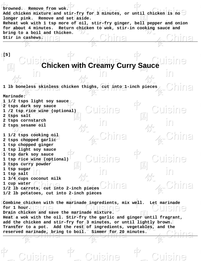**browned. Remove from wok. Add chicken mixture and stir-fry for 3 minutes, or until chicken is no longer pink. Remove and set aside. Reheat wok with 1 tsp more of oil, stir-fry ginger, bell pepper and onion for about 4 minutes. Return chicken to wok, stir-in cooking sauce and bring to a boil and thicken. Stir in cashews. [5] Chicken with Creamy Curry Sauce** ר בר **1 lb boneless skinless chicken thighs, cut into 1-inch pieces Marinade: 1 1/2 tsps light soy sauce 2 tsps dark soy sauce** Cuisine **1 /2 tsp rice wine (optional) 2 tsps salt 2 tsps cornstarch 2 tsps sesame oil** ina **1 1/2 tsps cooking oil 2 tsps chopped garlic 1 tsp chopped ginger 1 tsp light soy sauce 1 tsp dark soy sauce 1 tsp rice wine (optional) 3 tsps curry powder 1 tsp sugar 1 tsp salt 1 3/4 cups coconut milk 1 cup water** nina **1/2 lb carrots, cut into 2-inch pieces 1/2 lb potatoes, cut into 2-inch pieces Combine chicken with the marinade ingredients, mix well. Let marinade for 1 hour. Drain chicken and save the marinade mixture.** Heat a wok with the oil. Stir-fry the garlic and ginger until fragrant, **add the chicken and stir-fry for 3 minutes, or until lightly brown. Transfer to a pot. Add the rest of ingredients, vegetables, and the reserved marinade, bring to boil. Simmer for 20 minutes.**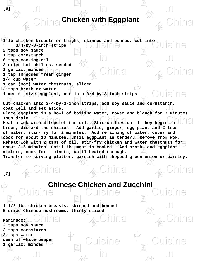# **China Chicken with Eggplant**

**[6]**

<span id="page-29-0"></span>**1 lb chicken breasts or thighs, skinned and bonned, cut into 3/4-by-3-inch strips 2 tsps soy sauce 1 tsp cornstarch 6 tsps cooking oil 2 dried hot chilies, seeded**  China **1 garlic, minced 1 tsp shredded fresh ginger 1/4 cup water 1 can (8oz) water chestnuts, sliced 3 tsps broth or water** Cuisine **1 medium-size eggplant, cut into 3/4-by-3-inch strips Cut chicken into 3/4-by-3-inch strips, add soy sauce and cornstarch, coat well and set aside. Place eggplant in a bowl of boiling water, cover and blanch for 7 minutes. Then drain.** Heat a wok with 4 tsps of the oil. Stir chilies until they begin to **brown, discard the chilies. Add garlic, ginger, egg plant and 2 tsps of water, stir-fry for 2 minutes. Add remaining of water, cover and cook for about 10 minutes, until eggplant is tender. Remove from wok. Reheat wok with 2 tsps of oil, stir-fry chicken and water chestnuts for about 3-5 minutes, until the meat is cooked. Add broth, and eggplant mixture, cook for 1 minute, until heated through. Transfer to serving platter, garnish with chopped green onion or parsley.** <sub>ê-</sub>China <sub>ዿ</sub>\_China **[7] Chinese Chicken and Zucchini** Cuisine uisine **1 1/2 lbs chicken breasts, skinned and bonned 5 dried Chinese mushrooms, thinly sliced Marinade: 2 tsps soy sauce 2 tsps cornstarch 2 tsps water dash of white pepper 1 garlic, minced**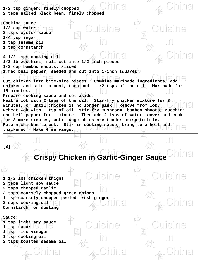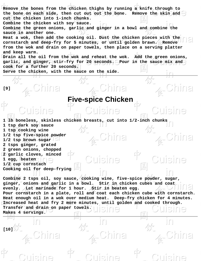**Remove the bones from the chicken thighs by running a knife through to the bone on each side, then cut out out the bone. Remove the skin and cut the chicken into 1-inch chunks. Combine the chicken with soy sauce.** Combine the green onions, garlic and ginger in a bowl and combine the **sauce in another one. Heat a wok, then add the cooking oil. Dust the chicken pieces with the cornstarch and deep-fry for 5 minutes, or until golden brawn. Remove from the wok and drain on paper towels, then place on a serving platter and keep warm. Drain all the oil from the wok and reheat the wok. Add the green onions, garlic, and ginger, stir-fry for 20 seconds. Pour in the sauce mix and cook for a further 20 seconds. Serve the chicken, with the sauce on the side.** isnina s China -**[9] Five-spice Chicken** Cuisine I Cuisine Isine **1 lb boneless, skinless chicken breasts, cut into 1/2-inch chunks 1 tsp dark soy sauce 1 tsp cooking wine 1/2 tsp five-spice powder** mus **1/2 tsp brown sugar 2 tsps ginger, grated 2 green onions, chopped 2 garlic cloves, minced 1 egg, beaten 1/2 cup cornstach Cooking oil for deep-frying Combine 2 tsps oil, soy sauce, cooking wine, five-spice powder, sugar, ginger, onions and garlic in a bowl. Stir in chicken cubes and coat evenly. Let marinade for 1 hour. Stir in beaten egg. Pour cornstarch in a plate, roll and coat each chicken cube with cornstarch. Heat enough oil in a wok over medium heat. Deep-fry chicken for 4 minutes. Increased heat and fry 2 more minutes, until golden and cooked through. Transfer and drain on paper towels. Makes 4 servings.**

<span id="page-31-0"></span>**[10]**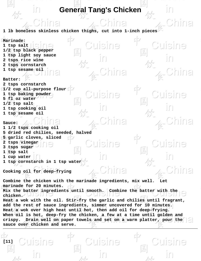### **General Tang's Chicken**

**Example 1** 

Cuisine

Cuisine I

<sub>a</sub>\_China

.China -

Cuisine

千<br>国

China

Cuisine

Cuisine

## ∡\_China

in

**1 lb boneless skinless chicken thighs, cut into 1-inch pieces**

**Marinade: 1 tsp salt**  $|\mathbb{C}||\cap\mathbb{C}|$ **1/2 tsp black pepper 1 tsp light soy sauce 2 tsps rice wine 2 tsps cornstarch 1 tsp sesame oil**

#### **Batter:**

**2 tsps cornstarch 1/2 cup all-purpose flour 1 tsp baking powder 5 fl oz water**

- **1/2 tsp salt**
- **1 tsp cooking oil**
- 
- **1 tsp sesame oil**

#### **Sauce:** <u>AU</u>IIII

**[11]**

**1 1/2 tsps cooking oil**

**5 dried red chilies, seeded, halved**

- **5 garlic cloves, sliced**
- **2 tsps vinegar**
- **3 tsps sugar**
- **1 tsp salt**
- **1 cup water**
- **1 tsp cornstarch in 1 tsp water**

**Cooking oil for deep-frying**

Cuisine

**Combine the chicken with the marinade ingredients, mix well. Let marinade for 20 minutes.**  Mix the batter ingredients until smooth. Combine the batter with the  $\bigcap_{i=1}^{\infty}$ **chicken.** JUIDIIT AMDIHA . **Heat a wok with the oil. Stir-fry the garlic and chilies until fragrant, add the rest of sauce ingredients, simmer uncovered for 10 minutes. Heat a wok over high heat until hot, then add oil for deep-frying. When oil is hot, deep-fry the chicken, a few at a time until golden and** 

**crispy. Drain well on paper towels and set on a warm platter, pour the sauce over chicken and serve.**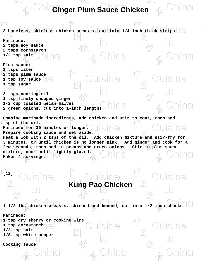**Ginger Plum Sauce Chicken** 

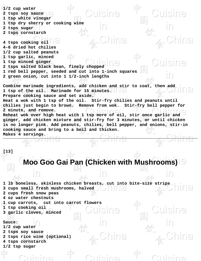**1/2 cup water** 2 tsps soy sauce  $\Box$ **1 tsp white vinegar 1 tsp dry sherry or cooking wine** 2 tsps, sugar **2 tsps cornstarch 4 tsps cooking oil 4-6 dried hot chilies 1/2 cup salted peanuts 1 tsp garlic, minced 1 tsp minced ginger 2 tsps salted black bean, finely chopped 1 red bell pepper, seeded and cut into 1-inch squares 2 green onion, cut into 1 1/2-inch lengths Combine marinade ingredients, add chicken and stir to coat, then add 1 tsp of the oil. Marinade for 15 minutes. Prepare cooking sauce and set aside. Heat a wok with 1 tsp of the oil. Stir-fry chilies and peanuts until chilies just begin to brown. Remove from wok. Stir-fry bell pepper for 2 minute, and remove.**  $11c<sub>2</sub> + c$ **Reheat wok over high heat with 1 tsp more of oil, stir once garlic and**  ginger, add chicken mixture and stir-fry for 3 minutes, or until chicken **is no longer pink. Add peanuts, chilies, bell pepper, and onions, stir-in cooking sauce and bring to a boil and thicken. Makes 4 servings. [13] Moo Goo Gai Pan (Chicken with Mushrooms) 1 lb boneless, skinless chicken breasts, cut into bite-size strips 3 cups small fresh mushrooms, halved 2 cups fresh snow peas 4 oz water chestnuts 1 cup carrots, cut into carrot flowers 1 tsp cooking oil 3 garlic cloves, minced Sauce: 1/2 cup water 2 tsps soy sauce 2 tsps rice wine (optional) 4 tsps cornstarch 1/2 tsp sugar**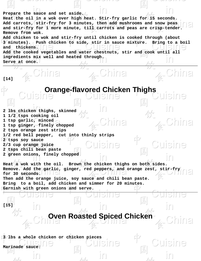<span id="page-35-0"></span>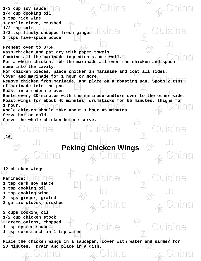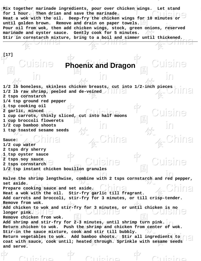**Mix together marinade ingredients, pour over chicken wings. Let stand**  for 1 hour. Then drian and save the marinade. **Heat a wok with the oil. Deep-fry the chicken wings for 10 minutes or until golden brown. Remove and drain on paper towels. Pour oil from wok, then add chicken wings, stock, green onions, reserved marinade and oyster sauce. Gently cook for 5 minutes. Stir in cornstarch mixture, bring to a boil and simmer until thickened. [17] Phoenix and Dragon** Cuisine **1/2 lb boneless, skinless chicken breasts, cut into 1/2-inch pieces 1/2 lb raw shrimp, peeled and de-veined 2 tsps cornstarch 1/4 tsp ground red pepper 1 tsp cooking oil 2 garlic, minced 1 cup carrots, thinly sliced, cut into half moons 1 cup broccoli flowerets 1/2 cup bamboo shoots 1 tsp toasted sesame seeds Sauce: 1/2 cup water 2 tsps dry sherry 1 tsp oyster sauce 2 tsps soy sauce 2 tsps cornstarch 1/2 tsp instant chicken bouillon granules Halve the shrimp lengthwise, combine with 2 tsps cornstarch and red pepper, set aside.** o. **Prepare cooking sauce and set aside. Heat a wok with the oil. Stir-fry garlic till fragrant. Add carrots and broccoli, stir-fry for 3 minutes, or till crisp-tender. Remove from wok. Add chicken to wok and stir-fry for 3 minutes, or until chicken is no longer pink.**  l de 11 5 **Remove chicken from wok. Add shrimp and stir-fry for 2-3 minutes, until shrimp turn pink. Return chicken to wok. Push the shrimp and chicken from center of wok. Stir-in the sauce mixture, cook and stir till bubbly.**  Return vegetables to wok. Add bamboo shoots. Stir all ingredients to **coat with sauce, cook until; heated through. Sprinkle with sesame seeds and serve.**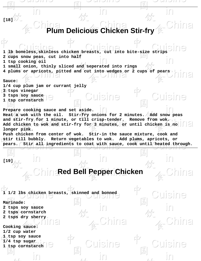**[18] Plum Delicious Chicken Stir-fry 1 lb boneless,skinless chicken breasts, cut into bite-size strips 2 cups snow peas, cut into half 1 tsp cooking oil 1 small onion, thinly sliced and seperated into rings 4 plums or apricots, pitted and cut into wedges or 2 cups of pears Sauce: 1/4 cup plum jam or currant jelly 3 tsps vinegar** Cuisine **3 tsps soy sauce 1 tsp cornstarch Prepare cooking sauce and set aside.**  Heat a wok with the oil. Stir-fry onions for 2 minutes. Add snow peas **and stir-fry for 1 minute, or till crisp-tender. Remove from wok. Add chicken to wok and stir-fry for 3 minutes, or until chicken is no longer pink. Push chicken from center of wok. Stir-in the sauce mixture, cook and stir till bubbly. Return vegetables to wok. Add plums, apricots, or pears. Stir all ingredients to coat with sauce, cook until heated through. Red Bell Pepper Chicken [19] 1 1/2 lbs chicken breasts, skinned and bonned** 게하게요 **Marinade: 2 tsps soy sauce 2 tsps cornstarch 2 tsps dry sherry Cooking sauce: 1/2 cup water 1 tsp soy sauce 1/4 tsp sugar 1 tsp cornstarch**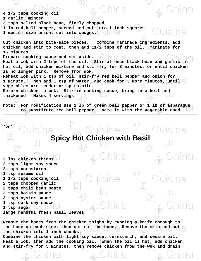<sub>∕⊉</sub> China <sub>a⊱</sub>China **4 1/2 tsps cooking oil 1 garlic, minced 2 tsps salted black bean, finely chopped 1 lb red bell pepper, seeded and cut into 1-inch squares** Cuisine **1 medium size onion, cut into wedges. Cut chicken into bite-size pieces. Combine marinade ingredients, add chicken and stir to coat, then add 11/2 tsps of the oil. Marinate for 15 minutes. Prepare cooking sauce and set aside.**  Heat a wok with 2 tsps of the oil. Stir at once black bean and garlic **hot oil, add chicken mixture and stir-fry for 3 minutes, or until chicken is no longer pink. Remove from wok. Reheat wok with 1 tsp of oil, stir-fry red bell pepper and onion for 1 minute. Then add 1 tsp of water, and cook for 3 more minutes, until vegetables are tender-crisp to bite. Return chicken to wok. Stir-in cooking sauce, bring to a boil and thickened. Makes 4 servings. note: For modification use 1 lb of green bell papper or 1 lb of asparagus to substitute red bell pepper. Name it with the vegetable used. [20]** sine f , Cuisine-**Spicy Hot Chicken with Basil** <sub>ĝ</sub>\_China <sub>→</sub> **2 lbs chicken thighs 2 tsps light soy sauce 2 tsps cornstarch 1 tsp sesame oil** Cuisine **1 1/2 tsps cooking oil 2 tsps chopped garlic 2 tsps chili bean paste 2 tsps hoisin sauce 2 tsps oyster sauce 1 tsp dark soy sauce** China -**1 tsp sugar large handful fresh basil leaves Remove the bones from the chicken thighs by running a knife through to**  the bone on each side, then cut out the bone. Remove the skin and cut **the chicken into 1-inch chunks.** 

**Combine the chicken with light soy sauce, cornstarch, and sesame oil. Heat a wok, then add the cooking oil. When the oil is hot, add chicken and stir-fry for 5 minutes, then remove chicken from the wok and drain** 

mma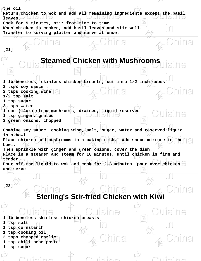**the oil. Return chicken to wok and add all remaining ingredients except the basil leaves.**  7 키 ] '가 ] ] 2 **Cook for 5 minutes, stir from time to time. When chicken is cooked, add basil leaves and stir well. Transfer to serving platter and serve at once.** China **[21] Steamed Chicken with Mushrooms 1 lb boneless, skinless chicken breasts, cut into 1/2-inch cubes 2 tsps soy sauce** st Culus **2 tsps cooking wine 1/2 tsp salt 1 tsp sugar 2 tsps water 1 can (14oz) straw mushrooms, drained, liquid reserved** Cuisine **1 tsp ginger, grated 3 green onions, chopped** Combine soy sauce, cooking wine, salt, sugar, water and reserved liquid **in a bowl.**  Place chicken and mushrooms in a baking dish, add sauce mixture in the **bowl. Then sprinkle with ginger and green onions, cover the dish. Place in a steamer and steam for 10 minutes, until chicken is firm and tender. Pour off the liquid to wok and cook for 2-3 minutes, pour over chicken and serve. [22] Sterling's Stir-fried Chicken with Kiwi 1 lb boneless skinless chicken breasts 1 tsp salt 1 tsp cornstarch 1 tsp cooking oil 2 tsps chopped garlic 1 tsp chili bean paste 1 tsp sugar**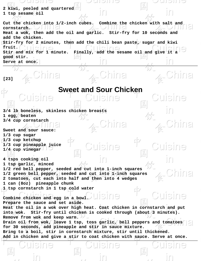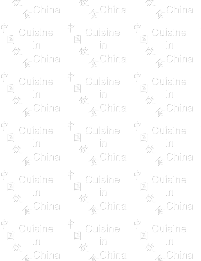





饮<br>食China 中<br>国<br><sub>於<br><sub>食</sub>China</sub>  $\begin{array}{c}\n\mathbf{\hat{F}}_{\mathbf{\hat{E}}_{\mathbf{\hat{y}}}} & \text{Cuisine} \\
\mathbf{\hat{w}}_{\mathbf{\hat{g}}} & \text{in} \\
\mathbf{\hat{g}}_{\mathbf{\hat{y}}} & \text{china}\n\end{array}$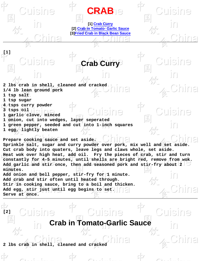<span id="page-43-1"></span><span id="page-43-0"></span>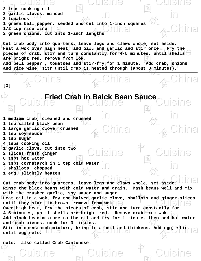<span id="page-44-0"></span>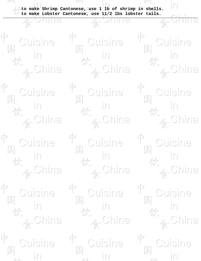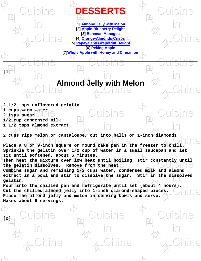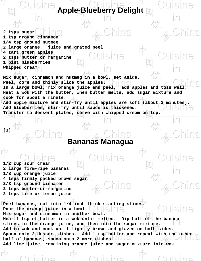### **Apple-Blueberry Delight**

China

**2 tsps sugar 1 tsp ground cinnamon 1/4 tsp ground nutmeg 2 large orange, juice and grated peel 4 tart green apples 2 tsps butter or margarine 1 pint blueberries Whipped cream**

**Mix sugar, cinnamon and nutmeg in a bowl, set aside. Peel, core and thinly slice the apples. In a large bowl, mix orange juice and peel, add apples and toss well. Heat a wok with the butter, when butter melts, add sugar mixture and cook for about a minute. Add apple mixture and stir-fry until apples are soft (about 3 minutes). Add blueberries, stir-fry until sauce is thickened.** 

**Transfer to dessert plates, serve with whipped cream on top.**

**Peel bananas, cut into 1/4-inch-thick slanting slices.** 

**half of bananas, spoon onto 2 more dishes.** 

**Heat 1 tsp of butter in a wok until melted. Dip half of the banana** 

**Spoon onto 2 dessert dishes. Add 1 tsp butter and repeat with the other** 

**Add to wok and cook until lightly brown and glazed on both sides.** 

**Add lime juice, remaining orange juice and sugar mixture into wok.** 

**slices in the orange juice, and then into the sugar mixture.** 

**[3]**

**1/2 cup sour cream**

**1/3 cup orange juice**

**2/3 tsp ground cinnamon 2 tsps butter or margarine 2 tsps lime or lemon juice**

**2 large firm-ripe bananas**

**4 tsps firmly packed brown sugar**

**Pour the orange juice in a bowl.**

**Mix sugar and cinnamon in another bowl.**

## **Bananas Managua**

.<br>Cuisine

ma

T

Cuisine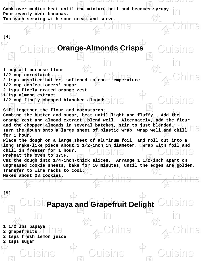**Cook over medium heat until the mixture boil and becomes syrupy. Pour evenly over bananas. Top each serving with sour cream and serve. [4] Orange-Almonds Crisps 1 cup all purpose flour 1/2 cup cornstarch 2 tsps unsalted butter, softened to room temperature 1/2 cup confectioners' sugar 2 tsps finely grated orange zest 1 tsp almond extract** Cuisine **1/2 cup finely chopped blanched almonds Sift together the flour and cornstarch.** Combine the butter and sugar, beat until light and fluffy, Add the **orange zest and almond extract, blend well. Alternately, add the flour and the chopped almonds in several batches, stir to just blended. Turn the dough onto a large sheet of plastic wrap, wrap well and chill for 1 hour. Place the dough on a large sheet of aluminum foil, and roll out into a long snake-like piece about 1 1/2-inch in diameter. Wrap with foil and chill in freezer for 1 hour. Preheat the oven to 375F. Cut the dough into 1/4-inch-thick slices. Arrange 1 1/2-inch apart on ungreased cookie sheets, bake for 10 minutes, until the edges are golden. Transfer to wire racks to cool. Makes about 28 cookies. [5]** *CLISIPapaya* **and Grapefruit Delight CLISINE 1 1/2 lbs papaya** ina l **2 grapefruits 2 tsps fresh lemon juice 2 tsps sugar**Cuisine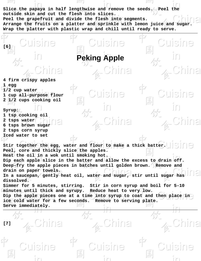**Slice the papaya in half lengthwise and remove the seeds. Peel the outside skin and cut the flesh into slices. Peel the grapefruit and divide the flesh into segments. Arrange the fruits on a platter and sprinkle with lemon juice and sugar. Wrap the platter with plastic wrap and chill until ready to serve.** キ<br>国 Cuisine r<sub>eg</sub> Cuisine Cuisine **Peking Apple** ,China ∡ China 一<sub>企</sub>China

**4 firm crispy apples 1 egg 1/2 cup water 1 cup all-purpose flour**

**2 1/2 cups cooking oil**

**Syrup:**

**1 tsp cooking oil**

- **2 tsps water**
- **6 tsps brown sugar**
- **2 tsps corn syrup**
- **Iced water to set**

**Stir together the egg, water and flour to make a thick batter. Peel, core and thickly slice the apples. Heat the oil in a wok until smoking hot.**

sy Cuisine<br>。 in<br>然

<sub>俞</sub>China

中<br>国 Cuisine

 $\frac{f}{\mathbb{E}}$  Cuisine

.China

**Dip each apple slice in the batter and allow the excess to drain off.**  Deep-fry the apple pieces in batches until golden brown. Remove and **drain on paper towels.**

**In a saucepan, gently heat oil, water and sugar, stir until sugar has dissolved.** 

**Simmer for 5 minutes, stirring. Stir in corn syrup and boil for 5-10 minutes until thick and syrupy. Reduce heat to very low.** 

**Dip the apple pieces one at a time into syrup to coat and then place in ice cold water for a few seconds. Remove to serving plate. Serve immediately.**

 $\frac{f^2}{\mathbb{E}}$  Cuisine

**Example 1** 

**[7]**

<sub>金</sub>China

Cuisine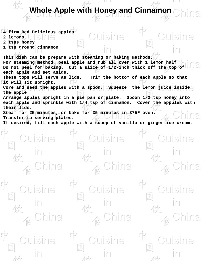# **Whole Apple with Honey and Cinnamon China**

 $\mathbf{E}$  Cuisine  $\frac{f_{\text{F}}}{\mathbb{E}}$  Cuisine **4 firm Red Delicious apples 2 lemons 2 tsps honey 1 tsp ground cinnamon This dish can be prepare with steaming or baking methods. For steaming method, peel apple and rub all over with 1 lemon half. Do not peel for baking. Cut a slice of 1/2-inch thick off the top of each apple and set aside. These tops will serve as lids. Trim the bottom of each apple so that it will sit upright. Core and seed the apples with a spoon. Squeeze the lemon juice inside the apple. Arrange apples upright in a pie pan or plate. Spoon 1/2 tsp honey into**  each apple and sprinkle with  $1/4$  tsp of cinnamon. Cover the appples with **their lids. Steam for 25 minutes, or bake for 35 minutes in 375F oven. Transfer to serving plates. If desired, fill each apple with a scoop of vanilla or ginger ice-cream.**r<br>国 Cuisine<br>- 炎 - Chin  $\frac{1}{\frac{1}{\alpha}}$  Cuisine  $T_{\mathbb{E}[\mathcal{K}]}$  Cuisine **TA** China <sub>കୁ</sub>China । 中<br>国 in<br>人 China 中<br>国 Cuisine  $\mathbf{f}_{\rm g}$  Cuisine 一<br>袋 In ,<br>《 China <sub>∕≵</sub> China 中<br>国 Cuisine  $\mathbf{f}_{\mathbf{g}_{1}}$  Cuisine Cuisine  $\frac{1}{\sqrt{2}}$  $\frac{1}{2}$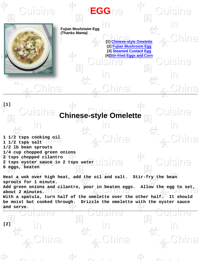<span id="page-51-1"></span><span id="page-51-0"></span>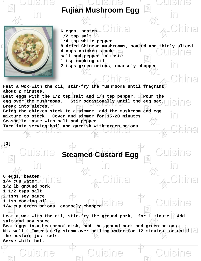<span id="page-52-0"></span>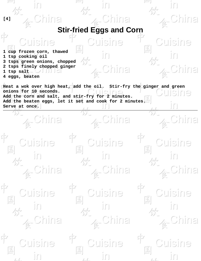<span id="page-53-0"></span>**一**<br><sub>[4]</sub><br>《《《《《 》《 》《 》<br>《 》 。<br>然 ∕<sub>⊉</sub> China **Stir-fried Eggs and Corn<br>
FLOUISING** (<br>国 in<br>《 China , Cuisine  $\mathbb{R}$ **1 cup frozen corn, thawed 1 tsp cooking oil 3 tsps green onions, chopped 「<sub>金</sub>China 2 tsps finely chopped ginger 1 tsp salt 4 eggs, beaten Heat a wok over high heat, add the oil.** Stir-fry the ginger and green onions for 10 seconds. onions for 10 seconds.<br>Add the corn and salt, and stir-fry for 2 minutes. **Add the corn and salt, and stir-fry for 2 minutes. Add the beaten eggs, let it set and cook for 2 minutes. Serve at once.** $\frac{1}{\sqrt{\frac{1}{2}}\sqrt{\frac{1}{2}}}\frac{1}{\sqrt{\frac{1}{2}}\sqrt{\frac{1}{2}}}}$ **e** China **TA** China 中<br>国 in<br>- 食 China **A**China **e** China 中<br>国 in<br>一 飲 china  $\frac{f}{\mathbb{E}}$  Cuisine  $\frac{\text{F}}{\text{E}}$  Cuisine  $\frac{f}{\mathbb{E}}$  cuisine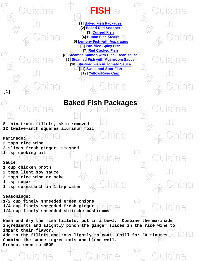<span id="page-54-0"></span>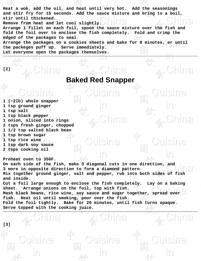<span id="page-55-1"></span><span id="page-55-0"></span>**Heat a wok, add the oil, and heat until very hot. Add the seasonings and stir fry for 15 seconds. Add the sauce mixture and bring to a boil, stir until thickened. Remove from heat and let cool slightly. Arrange 1 fillet on each foil, spoon the sauce mixture over the fish and fold the foil over to enclose the fish completely. Fold and crimp the edged of the packages to seal. Arrange the packages on a cookies sheets and bake for 8 minutes, or until the packeges puff up. Serve immediately.**  Let everyone open the packages themselves. <sub>4≻</sub>China **[2]** snina **Baked Red Snapper** Cuisine **1 (~2lb) whole snapper 1 tsp ground ginger 1 tsp salt 1 tsp black pepper** na **1 onion, sliced into rings 2 tsps fresh ginger, chopped 1 1/2 tsp salted black bean 1 tsp brown sugar 1 tsp rice wine** sine **1 tsp dark soy sauce 2 tsps cooking oil Preheat oven to 350F. On each side of the fish, make 3 diagonal cuts in one direction, and 3 more in opposite direction to form a diamond pattern. Mix together ground ginger, salt and pepper, rub into both sides of fish and inside. Cut a foil large enough to enclose the fish completely. Lay on a baking sheet. Arrange onions on the foil, top with fish.** Mash black beans, rice wine, soy sauce and sugar together, spread over  $\Box$ **fish. Heat oil until smoking, pour over the fish. Fold the foil tightly. Bake for 20 minutes, until fish turns opaque. Serve topped with the cooking juice.** <sub>≱-</sub>China **[3]**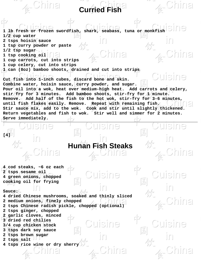### **Curried Fish**

ina

<span id="page-56-0"></span>**1 lb fresh or frozen swordfish, shark, seabass, tuna or monkfish 1/2 cup water 2 tsps hoisin sauce 1 tsp curry powder or paste 1/2 tsp sugar 1 tsp cooking oil 1 cup carrots, cut into strips 1 cup celery, cut into strips 1 can (8oz) bamboo shoots, drained and cut into strips** LID DA LETTER Cuisine **Cut fish into 1-inch cubes, discard bone and skin. Combine water, hoisin sauce, curry powder, and sugar. Pour oil into a wok, heat over medium-high heat. Add carrots and celery, stir fry for 3 minutes. Add bamboo shoots, stir-fry for 1 minute. Remove. Add half of the fish to the hot wok, stir-fry for 3-6 minutes, until fish flakes easily. Remove. Repeat with remaining fish. Stir sauce mix, add to the wok. Cook and stir until slightly thickened. Return vegetables and fish to wok. Stir well and simmer for 2 minutes. Serve immediately.** uisine **[4] Hunan Fish Steaks** China **4 cod steaks, ~6 oz each 2 tsps sesame oil 4 green onions, chopped cooking oil for frying Sauce: 4 dried Chinese mushrooms, soaked and thinly sliced 2 medium onions, finely chopped 2 tsps Chinese radish pickle, chopped (optional) 2 tsps ginger, chopped 2 garlic cloves, minced 3 dried red chilies 3/4 cup chicken stock 3 tsps dark soy sauce 2 tsps brown sugar** 2 tsps salt <sup>11 1</sup> **4 tsps rice wine or dry sherry**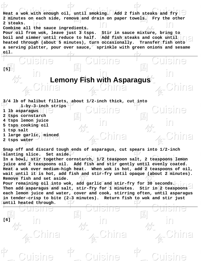```
Heat a wok with enough oil, until smoking. Add 2 fish steaks and fry 
2 minutes on each side, remove and drain on paper towels. Fry the other 
2 steaks. 
Combine all the sauce ingredients.
Pour oil from wok, leave just 3 tsps. Stir in sauce mixture, bring to 
boil and simmer until reduce to half. Add fish steaks and cook until 
heated through (about 5 minutes), turn occasionally. Transfer fish onto 
a serving platter, pour over sauce, sprinkle with green onions and sesame 
oil.
[5]
           Lemony Fish with Asparagus
3/4 lb of halibut fillets, about 1/2-inch thick, cut into 
       1-by-3-inch strips
1 lb asparagus
2 tsps cornstarch
4 tsps lemon juice
5 tsps cooking oil
1 tsp salt
                                  <sub>∯-</sub>China -
1 large garlic, minced
2 tsps water
Snap off and discard tough ends of asparagus, cut spears into 1/2-inch 
slanting slice. Set aside.
In a bowl, stir together cornstarch, 1/2 teaspoon salt, 2 teaspoons lemon 
juice and 2 teaspoons oil. Add fish and stir gently until evenly coated.
Heat a wok over medium-high heat. When wok is hot, add 2 teaspoons of oil, 
wait until it is hot, add fish and stir-fry until opaque (about 2 minutes).
Remove fish and set aside.
Pour remaining oil into wok, add garlic and stir-fry for 30 seconds. 
Then add asparagus and salt, stir-fry for 1 minutes. Stir in 2 teaspoons 
each lemon juice and water, cover and cook, stirring often, until asparagus 
in tender-crisp to bite (2-3 minutes). Return fish to wok and stir just 
until heated through.
```
<span id="page-57-1"></span>**[6]**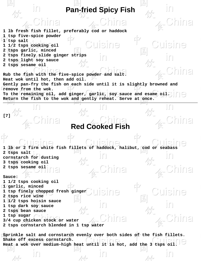#### <span id="page-58-0"></span>**Pan-fried Spicy Fish** kk k China k China **1 lb fresh fish fillet, preferably cod or haddock 1 tsp five-spice powder 1 tsp salt** Cuisine **1 1/2 tsps cooking oil 2 tsps garlic, minced 2 tsps finely slide ginger strips 2 tsps light soy sauce 2 tsps sesame oil Rub the fish with the five-spice powder and salt. Heat wok until hot, then add oil. Gently pan-fry the fish on each side until it is slightly browned and remove from the wok. To the remaining oil, add ginger, garlic, soy sauce and esame oil. Return the fish to the wok and gently reheat. Serve at once. [7]** China **Red Cooked Fish 1 lb or 2 firm white fish fillets of haddock, halibut, cod or seabass 2 tsps salt cornstarch for dusting 3 tsps cooking oil 2 tsps sesame oil** China **Sauce: 1 1/2 tsps cooking oil 1 garlic, minced** 半 **1 tsp finely chopped fresh ginger 2 tsps rice wine 1 1/2 tsps hoisin sauce 1 tsp dark soy sauce 2 tsps bean sauce 1 tsp sugar** ina **3/4 cup chicken stock or water 2 tsps cornstarch blended in 1 tsp water Sprinkle salt and cornstarch evenly over both sides of the fish fillets. Shake off excess cornstarch.** aino **Heat a wok over medium-high heat until it is hot, add the 3 tsps oil.**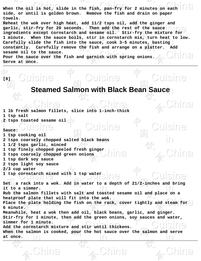**When the oil is hot, slide in the fish, pan-fry for 2 minutes on each side, or until is golden brown. Remove the fish and drain on paper towels.**

**Reheat the wok over high heat, add 11/2 tsps oil, add the ginger and garlic, stir-fry for 20 seconds. Then add the rest of the sauce ingredients except cornstarch and sesame oil. Stir-fry the mixture for 1 minute. When the sauce boils, stir in cornstarch mix, turn heat to low. Carefully slide the fish into the sauce, cook 3-5 minutes, basting constantly. Carefully remove the fish and arrange on a platter. Add sesame oil to the sauce.** 

**Pour the sauce over the fish and garnish with spring onions. Serve at once.**

#### <span id="page-59-0"></span>**[8]** \_ Cuisine Cuisine **Steamed Salmon with Black Bean Sauce 1 lb fresh salmon fillets, slice into 1-inch-thick 1 tsp salt 2 tsps toasted sesame oil** Cuisine **Sauce: 1 tsp cooking oil 2 tsps coarsely chopped salted black beans 1 1/2 tsps garlic, minced 1 tsp finely chopped peeled fresh ginger 3 tsps coarsely chopped green onions 1 tsp dark soy sauce 2 tsps light soy sauce 2/3 cup water 1 tsp cornstarch mixed with 1 tsp water** 7 SH SH I S Set a rack into a wok. Add in water to a depth of 21/2-inches and bring **it to a simmer. Rub the salmon fillets with salt and toasted sesame oil and place on a heatproof plate that will fit into the wok. Place the plate holding the fish on the rack, cover tightly and steam for 6 minute. Meanwhile, heat a wok then add oil, black beans, garlic, and ginger. Stir-fry for 1 minute, then add the green onions, soy sauces and water, simmer for 1 minute. Add the cornstarch mixture and stir until thickens. When the salmon is cooked, pour the hot sauce over the salmon and serve at once.**<sub>≙</sub>\_China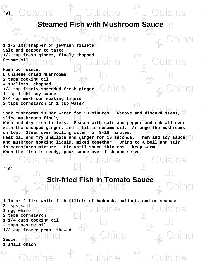### <span id="page-60-1"></span><span id="page-60-0"></span>r<br>Fall Cuisine Cuisine  $\frac{1}{2}$  Cuisine **Steamed Fish with Mushroom Sauce** in s\_China **1 1/2 lbs snapper or jewfish fillets Salt and pepper to taste 1/2 tsp fresh ginger, finely chopped Sesame**  $\overline{|\mathbf{01}|}$   $|\mathbf{0}\rangle$ **Mushroom sauce: 8 Chinese dried mushrooms 2 tsps cooking oil 4 shallots, chopped** nina **1/2 tsp finely shredded fresh ginger 1 tsp light soy sauce 3/4 cup mushroom soaking liquid 3 tsps cornstarch in 1 tsp water Soak mushrooms in hot water for 20 minutes. Remove and discard stems, slice mushrooms finely. Wash and dry fish fillets. Season with salt and pepper and rub all over with the chopped ginger, and a little sesame oil. Arrange the mushrooms on top. Steam over boiling water for 8-10 minutes. Heat oil and fry shallots and ginger for 10 seconds. Then add soy sauce and mushroom soaking liquid, mixed together. Bring to a boil and stir in cornstarch mixture, stir until sauce thickens. Keep warm. When the fish is ready, pour sauce over fish and serve. [10] Stir-fried Fish in Tomato Sauce 1 lb or 2 firm white fish fillets of haddock, halibut, cod or seabass 2 tsps salt** Cuisine Cuisine **1 egg white 2 tsps cornstarch 1 1/4 cups cooking oil 2 tsps sesame oil 1/2 cup frozen peas, thawed Sauce: 1 small onion**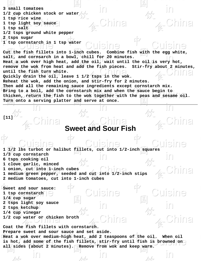<span id="page-61-0"></span>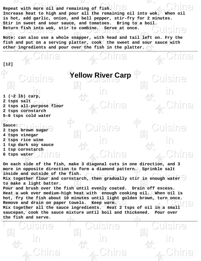<span id="page-62-0"></span>Repeat with more oil and remaining of fish. **Increase heat to high and pour all the remaining oil into wok. When oil is hot, add garlic, onion, and bell pepper, stir-fry for 2 minutes. Stir in sweet and sour sauce, and tomatoes. Bring to a boil.**  Return fish into wok, stir to combine. Serve at once. ne 7 SHOTH O ਾ 112 **Note: can also use a whole snapper, with head and tail left on. Fry the**  fish and put on a serving platter, cook the sweet and sour sauce with **other ingredients and pour over the fish in the platter. [12] Yellow River Carp 1 (~2 lb) carp, 2 tsps salt** nar **2 tsps all-purpose flour 2 tsps cornstarch 5-6 tsps cold water Sauce: 2 tsps brown sugar 4 tsps vinegar 2 tsps rice wine 1 tsp dark soy sauce 1 tsp cornstarch**  <sub>≱-</sub>China **6 tsps water On each side of the fish, make 3 diagonal cuts in one direction, and 3**  more in opposite direction to form a diamond pattern. Sprinkle salt **inside and outside of the fish. Mix together flour and cornstarch, then gradually stir in enough water to make a light batter. Pour and brush over the fish until evenly coated. Drain off excess. Heat a wok over medium-high heat with enough cooking oil. When oil is hot, fry the fish about 10 minutes until light golden brown, turn once. Remove and drain on paper towels. Keep warm. Mix together all the sauce ingredients. Heat 2 tsps of oil in a small saucepan, cook the sauce mixture until boil and thickened. Pour over the fish and serve.**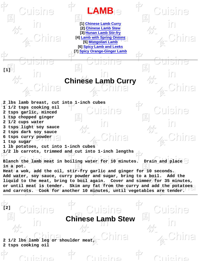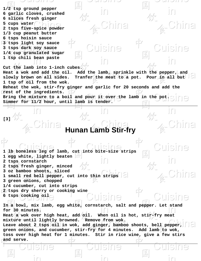**1/2 tsp ground pepper 6 garlic cloves, crushed 6 slices fresh ginger 5 cups water 2 tsps five-spice powder 1/3 cup peanut butter 6 tsps hoisin sauce 3 tsps light soy sauce 3 tsps dark soy sauce 1/4 cup granulated sugar 1 tsp chili bean paste Cut the lamb into 1-inch cubes. Heat a wok and add the oil. Add the lamb, sprinkle with the pepper, and slowly brown on all sides. Tranfer the meat to a pot. Pour in all but 1 tsp of oil from the wok. Reheat the wok, stir-fry ginger and garlic for 20 seconds and add the rest of the ingredients. Bring the mixture to a boil and pour it over the lamb in the pot. Simmer for 11/2 hour, until lamb is tender. [3] Hunan Lamb Stir-fry 1 lb boneless leg of lamb, cut into bite-size strips 1 egg white, lightly beaten 2 tsps cornstarch 2 tsps fresh ginger, minced 3 oz bamboo shoots, sliced 1 small red bell pepper, cut into thin strips 3 green onions, chopped 1/4 cucumber, cut into strips 2 tsps dry sherry or cooking wine 6 tsps cooking oil In a bowl, mix lamb, egg white, cornstarch, salt and pepper. Let stand for 30 minutes. Heat a wok over high heat, add oil. When oil is hot, stir-fry meat mixture until lightly browned. Remove from wok. Leave about 2 tsps oil in wok, add ginger, bamboo shoots, bell pepper, green onions, and cucumber, stir-fry for 4 minutes. Add lamb to wok, toss over high heat for 1 minutes. Stir in rice wine, give a few stirs and serve.**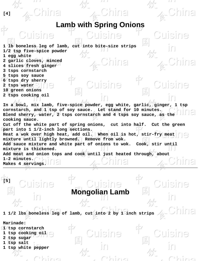<sub>pe</sub> China 金 China (一) 金 China **[4] Lamb with Spring Onions** Cuisine Cuisine Cuisine 玉 **1 lb boneless leg of lamb, cut into bite-size strips 1/2 tsp five-spice powder 1 egg white** <sub>食</sub>China **2 garlic cloves, minced 4 slices fresh ginger 3 tsps cornstarch 5 tsps soy sauce**  $\begin{array}{ccc}\n\mathbf{\hat{F}} & \mathbf{C} \mathbf{u} \mathbf{isine} & \mathbf{\hat{F}} \\ \mathbb{E} & \mathbf{t} \mathbf{e} & \mathbb{E} \end{array}$ **6 tsps dry sherry 2** tsps water SIIS **10 green onions 2 tsps cooking oil** alah d **In a bowl, mix lamb, five-spice powder, egg white, garlic, ginger, 1 tsp cornstarch, and 1 tsp of soy sauce. Let stand for 10 minutes. Blend sherry, water, 2 tsps cornstarch and 4 tsps soy sauce, as the cooking sauce. Cut off the white part of spring onions, cut into half. Cut the green part into 1 1/2-inch long sections.** Heat a wok over high heat, add oil. When  $\frac{1}{1}$  is hot, stir-fry meat  $\left| \begin{array}{c} \end{array} \right|$ **mixture until lightly browned. Remove from wok. Add sauce mixture and white part of onions to wok. Cook, stir until mixture is thickened.**  Add meat and onion tops and cook until just heated through, about<br>1-2 minutes.<br>Makes 4 servings.<br>15 **1-2 minutes. Makes 4 servings. Mongolian Lamb**<br>*Mongolian Lamb*<br>然 加 **[5]** Cuisine  $\Box$ Phine -**1 1/2 lbs boneless leg of lamb, cut into 2 by 1 inch strips**  $\left( \bigcup_{i=1}^{n} \bigcup_{i=1}^{n} \bigcup_{i=1}^{n} \bigcup_{i=1}^{n} \bigcup_{i=1}^{n} \bigcup_{i=1}^{n} \bigcup_{i=1}^{n} \bigcup_{i=1}^{n} \bigcup_{i=1}^{n} \bigcup_{i=1}^{n} \bigcup_{i=1}^{n} \bigcup_{i=1}^{n} \bigcup_{i=1}^{n} \bigcup_{i=1}^{n} \big$ **Marinade: 1 tsp cornstarch**  $\frac{1}{\mathbb{E}}$  Cuisine  $\frac{1}{\mathbb{E}}$  Cuisine **1 tsp cooking oil 2 tsp sugar 1 tsp salt 1 tsp white pepper**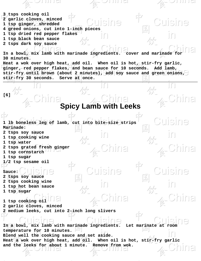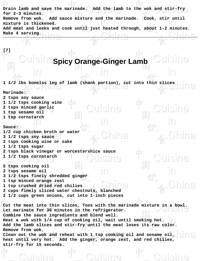**Drain lamb and save the marinade. Add the lamb to the wok and stir-fry for 2-3 minutes. Remove from wok. Add sauce mixture and the marinade. Cook, stir until mixture is thickened. Add meat and leeks and cook until just heated through, about 1-2 minutes. Make 4 serving. [7] UISINEspicy Orange-Ginger Lamb 1 1/2 lbs bonelss leg of lamb (shank portion), cut into thin slices** 거미미 이 **Marinade: 2 tsps soy sauce 1 1/2 tsps cooking wine 2 tsps minced garlic 1 tsp sesame oil 1 tsp cornstarch Sauce: 1/2 cup chicken broth or water** usu **3 1/2 tsps soy sauce 2 tsps cooking wine or sake 1 1/2 tsps sugar 2 tsps black vinegar or worcestershice sauce 1 1/2 tsps cornstarch** 제대 동부대 대표 동 **5 tsps cooking oil 2 tsps sesame oil 3 1/2 tsps finely shredded ginger 1 tsp minced orange zest 1 tsp crushed dried red chilies 2 cups finely sliced water chestnuts, blanched 2 1/2 cups green onions, cut into 1-inch pieces Cut the meat into thin slices, Toss with the marinade mixture in a bowl. Let marinate for 30 minutes in the refrigerator. Combine the sauce ingredients and blend well. Heat a wok with 1/4 cup of cooking oil, wait until smoking hot. Add the lamb slices and stir-fry until the meat loses its raw color. Remove from wok. Clean out the wok and reheat with 1 tsp cooking oil and sesame oil, heat until very hot. Add the ginger, orange zest, and red chilies, stir-fry for 15 seconds.**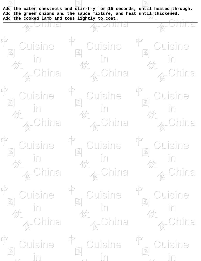**Add the water chestnuts and stir-fry for 15 seconds, until heated through. Add the green onions and the sauce mixture, and heat until thickened.**  Add the cooked lamb and toss lightly to coat. **Exiting** 







 $\frac{f}{\mathbb{E}}$  Cuisine

中<br>国 in<br>一 饮 china

 $\frac{f}{\mathbb{E}}$  Cuisine

中国<br>
(The sine in the sectional set of the set of  $\mathcal{L}$ )<br>  $\mathcal{L}$  chinal 

 $\frac{f}{\mathbb{E}}$  Cuisine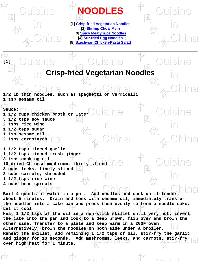<span id="page-69-0"></span>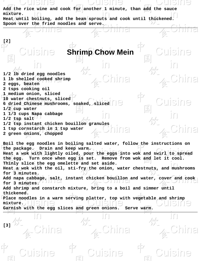<span id="page-70-1"></span><span id="page-70-0"></span>**Add the rice wine and cook for another 1 minute, than add the sauce mixture. Heat until boiling, add the bean sprouts and cook until thickened. Spoon over the fried noodles and serve. [2]** Cuisine **Shrimp Chow Mein 1/2 lb dried egg noodles** entr **1 lb shelled cooked shrimp 2 eggs, beaten 2 tsps cooking oil 1 medium onion, sliced**  $\frac{f}{\mathbb{E}}$  Cuisine **10 water chestnuts, sliced 6 dried Chinese mushrooms, soaked, sliced 1/2 cup water 1 1/3 cups Napa cabbage 1/2 tsp salt 1/2 tsp instant chicken bouillon granules 1 tsp cornstarch in 1 tsp water 2 green onions, chopped Boil the egg noodles in boiling salted water, follow the instructions on the package. Drain and keep warm. Heat a wok with lightly oiled, pour the eggs into wok and swirl to spread the egg. Turn once when egg is set. Remove from wok and let it cool. Thinly slice the egg omelette and set aside. Heat a wok with the oil, sti-fry the onion, water chestnuts, and mushrooms for 3 minutes.**  Add napa cabbage, salt, instant chicken bouillon and water, cover and cook **for 3 minutes. Add shrimp and constarch mixture, bring to a boil and simmer until thickened. Place noodles in a warm serving platter, top with vegetable and shrimp mixture. Garnish with the egg slices and green onions. Serve warm.**  $[31]$ <sub>∯</sub>\_China mua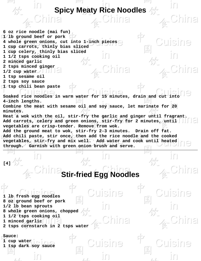**Spicy Meaty Rice Noodles**

enint

isnin

China

<span id="page-71-0"></span>**6 oz rice noodle (mai fun)**  $\frac{f}{\mathbb{E}}$  Cuisine **1 lb ground beef or pork 4 whole green onions, cut into 1-inch pieces 1 cup carrots, thinly bias sliced 1 cup celery, thinly bias sliced 1 1/2 tsps cooking oil 2 minced garlic** China **2 tsps minced ginger 1/2 cup water 1 tsp sesame oil 2 tsps soy sauce 1 tsp chili bean paste Soaked rice noodles in warm water for 15 minutes, drain and cut into 4-inch lengths. Combine the meat with sesame oil and soy sauce, let marinate for 20 minutes.** Heat a wok with the oil, stir-fry the garlic and ginger until fragrant. **Add carrots, celery and green onions, stir-fry for 2 minutes, until vegetables are crisp-tender. Remove from wok. Add the ground meat to wok, stir-fry 2-3 minutes. Drain off fat. Add chili paste, stir once, then add the rice noodle and the cooked vegetables, stir-fry and mix well. Add water and cook until heated through. Garnish with green onion brush and serve. IDED**<br>Chinal<sub>Stir-fried Egg Noodles</sub> **[4]** .<br>El <sup>Cuisine</sup> ザ<br>国 Cuisine **1 lb fresh egg noodles 8 oz ground beef or pork** 一饮 **1/2 lb bean sprouts 8** whole green onions, chopped  $\sqrt{\frac{1}{2}}$ **1 1/2 tsps cooking oil** entr **1 minced garlic 2 tsps cornstarch in 2 tsps water Sauce: 1 cup water 1 tsp dark soy sauce**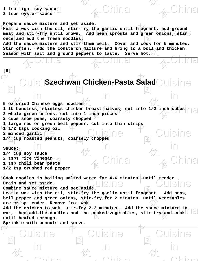<sub>o</sub> China ∕<sub>ଈ</sub>China **1 tsp light soy sauce 2 tsps oyster sauce Prepare sauce mixture and set aside. Heat a wok with the oil, stir-fry the garlic until fragrant, add ground meat and stir-fry until brown. Add bean sprouts and green onions, stir once and add the fresh noodles. Add the sauce mixture and stir them well. Cover and cook for 5 munutes. Stir often. Add the constarch mixture and bring to a boil and thicken. Season with salt and ground peppers to taste. Serve hot. [5] CuisiSzechwan Chicken-Pasta Salad**Cuisine **5 oz dried Chinese eggs noodles 1 lb boneless, skinless chicken breast halves, cut into 1/2-inch cubes 2 whole green onions, cut into 1-inch pieces 2 cups snow peas, coarsely chopped 1 large red or green bell pepper, cut into thin strips 1 1/2 tsps cooking oil 2 minced garlic 1/4 cup roasted peanuts, coarsely chopped Sauce: 1/4 cup soy sauce 2 tsps rice vinegar** കୁChina **1 tsp chili bean paste 1/2 tsp crushed red pepper Cook noodles in boiling salted water for 4-6 minutes, until tender. Drain and set aside.** sınə **Combine sauce mixture and set aside. Heat a wok with the oil, stir-fry the garlic until fragrant. Add peas, bell pepper and green onions, stir-fry for 2 minutes, until vegetables are crisp-tender. Remove from wok. Add the chicken to wok, stir-fry 2-3 minutes. Add the sauce mixture to wok, then add the noodles and the cooked vegetables, stir-fry and cook until heated through. Sprinkle with peanuts and serve.**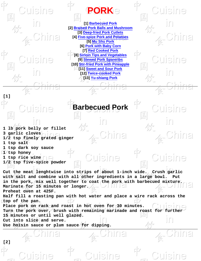<span id="page-73-1"></span><span id="page-73-0"></span>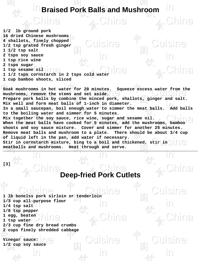## **Braised Pork Balls and Mushroom**

<span id="page-74-0"></span>r China <sub>∯-</sub>China **1/2 lb ground pork 16 dried Chinese mushrooms** <sup>平</sup>国 Cuisine **4 shallots, finely chopped** Cuisine **1/2 tsp grated fresh ginger 1 1/2 tsp salt 2 tsps soy sauce 1 tsp rice wine 1 1/2 tsps cornstarch in 2 tsps cold water 2 tsps sugar 1 tsp sesame oil**  $|\cap \subseteq$ **1 cup bamboo shoots, sliced Soak mushrooms in hot water for 20 minutes. Squeeze excess water from the mushrooms, remove the stems and set aside.** nmalue **Prepare pork balls by combine the minced pork, shallots, ginger and salt. Mix well and form meat balls of 1-inch in diameter.**  In a small saucepan, boil enough water to simmer the meat balls. Add balls **to the boiling water and simmer for 5 minutes. Mix together the soy sauce, rice wine, sugar and sesame oil. When the meat balls have cooked for 5 minutes, add the mushrooms, bamboo shoots and soy sauce mixture. Cover and simmer for another 25 minutes. Remove meat balls and mushroom to a plate. There should be about 3/4 cup**  of liquid left in the pan, add water if necessary. **Stir in cornstarch mixture, bing to a boil and thickened, stir in meatballs and mushrooms. Heat through and serve. Deep-fried Pork Cutlets [3]** Cuisine **1 lb bonelss pork sirloin or tenderloin 1/3 cup all-purpose flour 1/4 tsp salt 1/8 tsp pepper 1 egg, beaten** isnir **1 tsp water 2/3 cup fine dry bread crumbs 2 cups finely shredded cabbage Vinegar sauce: 1/2 cup soy sauce**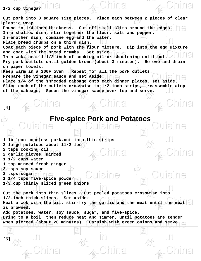<span id="page-75-1"></span><span id="page-75-0"></span><sub>≱-</sub>China **1/2 cup vinegar Cut pork into 8 square size pieces. Place each between 2 pieces of clear plastic wrap. Pound to 1/4-inch thickness.** Cut off small slits around the edges.  $\cap$ **In a shallow dish, stir together the flour, salt and pepper. In another dish, combine egg and the water. Place bread crumbs on a third dish.** Coat each piece of pork with the flour mixture. Dip into the egg mixture **and coat with the bread crumbs. Set aside. In a wok, heat 1 1/2-inch of cooking oil or shortening until hot. Fry pork cutlets until golden brown (about 3 minutes). Remove and drain on paper towels. Keep warm in a 300F oven. Repeat for all the pork cutlets. Prepare the vinegar sauce and set aside.**  $\cap$ **Place 1/4 of the shredded cabbage onto each dinner plates, set aside. Slice each of the cutlets crosswise to 1/2-inch strips, reassemble atop of the cabbage. Spoon the vinegar sauce over top and serve.** <sub>∯</sub>China ∕<sub>ଝ</sub>China **[4] Five-spice Pork and Potatoes**<br>Cuisine Cuisine Cuisine **1 lb lean boneless pork,cut into thin strips 3 large potatoes about 11/2 lbs 2 tsps cooking oil** ina **2 garlic cloves, minced 1 1/2 cups water 1 tsp minced fresh ginger 3 tsps soy sauce 2 tsps sugar** element **1 1/4 tsps five-spice powder 1/3 cup thinly sliced green onions Cut the pork into thin slices. Cut peeled potatoes crosswise into 1/2-inch thick slices. Set aside.** ⌒ Heat a wok with the oil, stir-fry the garlic and the meat until the meat  $\vert$ **is browned. Add potatoes, water, soy sauce, sugar, and five-spice. Bring to a boil, then reduce heat and simmer, until potatoes are tender when pierced (about 20 minutes). Garnish with green onions and serve. [5]**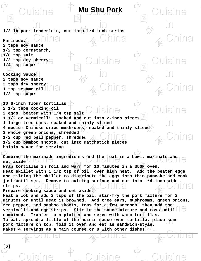**Mu Shu Pork**

ina

**1/2 lb pork tenderloin, cut into 1/4-inch strips**

**Marinade: 2 tsps soy sauce 1/2 tsp cornstarch, 1/8 tsp salt 1/2 tsp dry sherry 1/4 tsp sugar**

**Cooking Sauce: 2 tsps soy sauce 2 tsps dry sherry 1 tsp sesame oil 1/2 tsp sugar**

**10 6-inch flour tortillas 2 1/2 tsps cooking oil**

**2 eggs, beaten with 1/4 tsp salt**

isine

**1 1/2 oz vermicelli, soaked and cut into 2-inch pieces**

**1 large tree ears, soaked and thinly sliced**

**4 medium Chinese dried mushrooms, soaked and thinly sliced**

**3 whole green onions, shredded**

**1/2 cup red bell pepper, shredded 1/2 cup bamboo shoots, cut into matchstick pieces hoisin sauce for serving**

**Combine the marinade ingredients and the meat in a bowl, marinate and set aside. Wrap tortillas in foil and warm for 10 minutes in a 350F oven.**

**Heat skillet with 1 1/2 tsp of oil, over high heat. Add the beaten eggs and tilting the skillet to distribute the eggs into thin pancake and cook just until set. Remove to cutting surface and cut into 1/4-inch wide strips.**

**Prepare cooking sauce and set aside.**

**Heat a wok and add 2 tsps of the oil, stir-fry the pork mixture for 2 minutes or until meat is browned. Add tree ears, mushrooms, green onions, red pepper, and bamboo shoots, toss for a few seconds, then add the vermicelli and egg strips. Stir in the sauce mixture and toss until combined. Tranfer to a platter and serve with warm tortillas. To eat, spread a little of the hoisin sauce over tortilla, place some pork mixture on top, fold it over and eat as sandwich-style. Makes 4 servings as a main course or 8 with other dishes.**

<span id="page-76-0"></span>**[6]**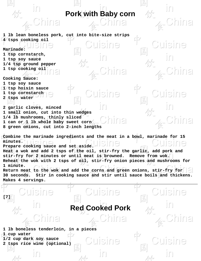

**Combine the marinade ingredients and the meat in a bowl, marinade for 15 minutes.** lisine **Prepare cooking sauce and set aside. Heat a wok and add 2 tsps of the oil, stir-fry the garlic, add pork and stir-fry for 2 minutes or until meat is browned. Remove from wok. Reheat the wok with 2 tsps of oil, stir-fry onion pieces and mushrooms for 1 minute. Return meat to the wok and add the corns and green onions, stir-fry for 30 seconds. Stir in cooking sauce and stir until sauce boils and thickens.** 

**Makes 4 servings.**

**8 green onions, cut into 2-inch lengths**

<span id="page-77-0"></span>Cuisine <sub>n</sub> Cuisine **[7] Red Cooked Pork** <sub>ke</sub>China <sub>≙</sub>⊾China **1 lb boneless tenderloin, in a pieces 1 cup water 1/2 cup dark soy sauce 2 tsps rice wine (optional)**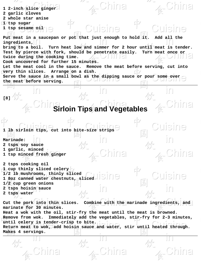<span id="page-78-0"></span>**1 2-inch slice ginger 2 garlic cloves 2 whole star anise 1 tsp sugar 1 tsp sesame oil** Cuisine **Put meat in a saucepan or pot that just enough to hold it. Add all the ingredients, bring to a boil. Turn heat low and simmer for 2 hour until meat is tender. Test by pierce with fork, should be penetrate easily. Turn meat once or twice during the cooking time.**  刀上上げ **Cook uncovered for further 15 minutes. Let the meat cool in the sauce. Remove the meat before serving, cut into very thin slices. Arrange on a dish.**  Serve the sauce in a small bowl as the dipping sauce or pour some over  $\ominus$ **the meat before serving. [8] Sirloin Tips and Vegetables 1 lb sirloin tips, cut into bite-size strips Marinade: 2 tsps soy sauce 1 garlic, minced** ien **1 tsp minced fresh ginger 2 tsps cooking oil 1 cup thinly sliced celery 1/2 lb mushrooms, thinly sliced 1 8oz canned water chestnuts, sliced 1/2 cup green onions 2 tsps hoisin sauce 2 tsps water Cut the pork into thin slices. Combine with the marinade ingredients, and marinate for 30 minutes. Heat a wok with the oil, stir-fry the meat until the meat is browned. Remove from wok. Immediately add the vegetables, stir-fry for 2-3 minutes, until celery is tender-crisp to bite. Return meat to wok, add hoisin sauce and water, stir until heated through. Makes 4 servings.**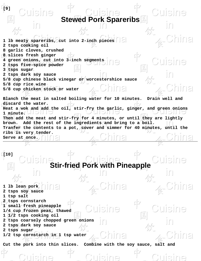<span id="page-79-1"></span><span id="page-79-0"></span>**[9] Cuisine Stewed Pork Spareribs 1 lb meaty spareribs, cut into 2-inch pieces 2 tsps cooking oil 8 garlic cloves, crushed 8 slices fresh ginger 4 green onions, cut into 3-inch segments 2 tsps five-spice powder 3 tsps sugar 2 tsps dark soy sauce 5/8 cup chinese black vinegar or worcestershice sauce 5/8 cup rice wine 5/8 cup chicken stock or water Blanch the meat in salted boiling water for 10 minutes. Drain well and discard the water. Heat a wok and add the oil, stir-fry the garlic, ginger, and green onions**   $\frac{1}{2}$  minute.  $\cup$   $\cup$   $\cup$   $\cup$ **Then add the meat and stir-fry for 4 minutes, or until they are lightly brown. Add the rest of the ingredients and bring to a boil. Tranfer the contents to a pot, cover and simmer for 40 minutes, until the ribs is very tender. Serve at once.** <u>a China — a China</u> **Cuisine ff** Cuisine Ff Cuist **[10]** n<br>China<br>C **1 lb lean pork 2 tsps soy sauce 1 tsp salt 2 tsps coarsely chopped green onions 2 tsps cornstarch 1 small fresh pineapple 1/4 cup frozen peas, thawed 1 1/2 tsps cooking oil 2 tsps dark soy sauce 2 tsps sugar** ina **1/2 tsp cornstarch in 1 tsp water Cut the pork into thin slices. Combine with the soy sauce, salt and**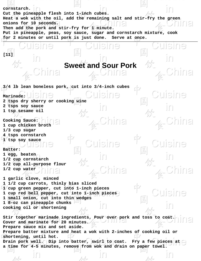<span id="page-80-0"></span>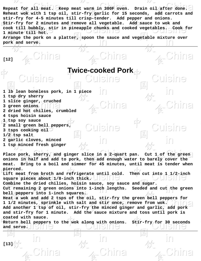<span id="page-81-0"></span>**Repeat for all meat. Keep meat warm in 300F oven. Drain oil after done. Reheat wok with 1 tsp oil, stir-fry garlic for 15 seconds, add carrots and stir-fry for 4-5 minutes till crisp-tender. Add pepper and onions. Stir-fry for 2 minutes and remove all vegetable. Add sauce to wok and cook till bubbly, stir in pineapple chunks and cooked vegetables. Cook for 1 minute till hot. Arrange the pork on a platter, spoon the sauce and vegetable mixture over pork and serve.** <sub>ക</sub>China <sub>ra</sub>China **[12] Twice-cooked Pork** Cuisine **1 lb lean boneless pork, in 1 piece 1 tsp dry sherry 1 slice ginger, cruched 3 green onions 2 dried hot chilies, crumbled 4 tsps hoisin sauce 1 tsp soy sauce 2 small green bell peppers, 3 tsps cooking oil 1/2 tsp salt 2 garlic cloves, minced 1 tsp minced fresh ginger Place pork, sherry, and ginger slice in a 2-quart pan. Cut 1 of the green onions in half and add to pork, then add enough water to barely cover the meat. Bring to a boil and simmer for 45 minutes, until meat is tender when pierced. Lift meat from broth and refrigerate until cold. Then cut into 1 1/2-inch square pieces about 1/8-inch thick. Combine the dried chilies, hoisin sauce, soy sauce and sugar. Cut remaining 2 green onions into 1-inch lengths. Seeded and cut the green bell peppers into 1-inch squares.** 

**Heat a wok and add 2 tsps of the oil, stir-fry the green bell peppers for 1 1/2 minutes, sprinkle with salt and stir once, remove from wok. Add another 1 tsp of oil, stir-fry the minced ginger and garlic, add pork and stir-fry for 1 minute. Add the sauce mixture and toss until pork is coated with sauce.** 

**Return bell peppers to the wok along with onions. Stir-fry for 30 seconds and serve.**

<span id="page-81-1"></span>**[13]**

≱ Chiusi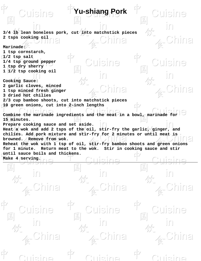**Yu-shiang Pork** F<sub>FI</sub> Cuisine Cuisine **3/4 1b lean boneless pork, cut into matchstick pieces**<br>2 tsps cooking oil<br>Mariando Report of the cooking of the cooking of the cooking of the cooking of the cooking of the cooking of the cooking of the cooking of the cook **2 tsps cooking oil** ina Marinade:<br> **1 tsp cornstarch,<br>
1/2 tsp salt**<br> **1 tsp dry sherry**<br> **1 tsp dry sherry**<br> **1 tsp dry sherry**<br> **1 tsp cooking sauce:**<br>
2 garlic cloves, minced<br> **1 tsp minced fresh ginger**<br> **1 tsp minced fresh ginger**<br>
(<br>
<u>1 tsp</u> **Marinade: 1 tsp cornstarch, 1/2 tsp salt 1/4 tsp ground pepper 1 tsp dry sherry 1 1/2 tsp cooking oil Cooking Sauce:** Lechina **2 garlic cloves, minced** China **3 dried hot chilies 2/3 cup bamboo shoots, cut into matchstick pieces 10 green onions, cut into 2-inch lengths** ricino úeine **Combine the marinade ingredients and the meat in a bowl, marinade for 15 minutes. Prepare cooking sauce and set aside. Heat a wok and add 2 tsps of the oil, stir-fry the garlic, ginger, and chilies. Add pork mixture and stir-fry for 2 minutes or until meat is browned. Remove from wok. Reheat the wok with 1 tsp of oil, stir-fry bamboo shoots and green onions for 1 minute. Return meat to the wok. Stir in cooking sauce and stir until sauce boils and thickens. Make 4 serving.**<sub>金</sub>China ina 中<br>国 in<br>一 飲 china 中<br>国 Cuisine<br>- 徐 - in ม่ก่อ 。<br>「Cuisine ,<br>Cuisine i Cuisine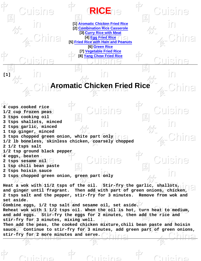<span id="page-83-0"></span>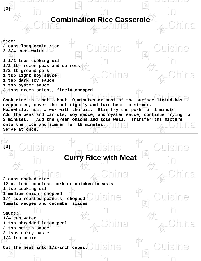<span id="page-84-1"></span><span id="page-84-0"></span>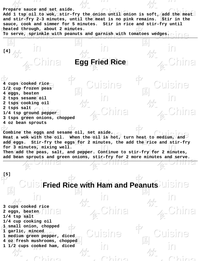<span id="page-85-1"></span><span id="page-85-0"></span>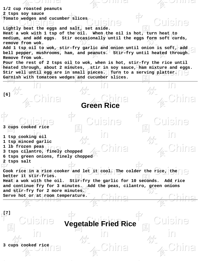<span id="page-86-1"></span><span id="page-86-0"></span>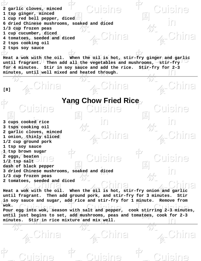<span id="page-87-0"></span>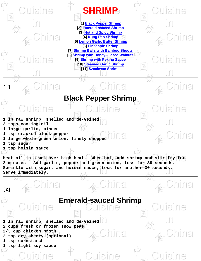<span id="page-88-1"></span><span id="page-88-0"></span>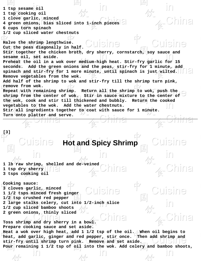<span id="page-89-0"></span>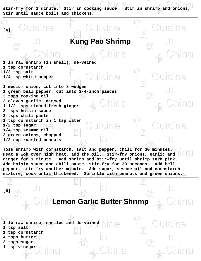**stir-fry for 1 minute. Stir in cooking sauce. Stir in shrimp and onions, Stir until sauce boils and thickens.**

<span id="page-90-1"></span><span id="page-90-0"></span>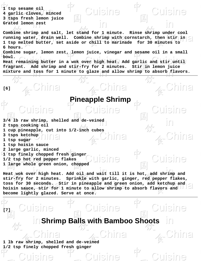<span id="page-91-1"></span><span id="page-91-0"></span>**1 tsp sesame oil** Cuisine Cuisine **4 garlic cloves, minced 3 tsps fresh lemon juice Grated lemon zest Combine shrimp and salt, let stand for 1 minute. Rinse shrimp under cool running water, drain well. Combine shrimp with cornstarch, then stir in 1 tsp melted butter, set aside or chill to marinade for 30 minutes to 6 hours. Combine sugar, lemon zest, lemon juice, vinegar and sesame oil in a small bowl. Heat remaining butter in a wok over high heat. Add garlic and stir until fragrant. Add shrimp and stir-fry for 2 minutes. Stir in lemon juice mixture and toss for 1 minute to glaze and allow shrimp to absorb flavors.** ∕a⊱China <sub>∕≵</sub>\_China ्<sub>कै</sub>-China **[6] Pineapple Shrimp** Cuisine Cuisine **3/4 lb raw shrimp, shelled and de-veined 2 tsps cooking oil 1 cup pineapple, cut into 1/2-inch cubes 3 tsps ketchup** nna **1 tsp sugar 1 tsp hoisin sauce 2 large garlic, minced** <sup>T</sup><sub>El</sub> Cuisine **1 tsp finely chopped fresh ginger 1/2 tsp hot red pepper flakes 1 large whole green onion, chopped** Heat wok over high heat. Add oil and wait till it is hot, add shrimp and **stir-fry for 2 minutes. Sprinkle with garlic, ginger, red pepper flakes, toss for 30 seconds. Stir in pineapple and green onion, add ketchup and hoisin sauce, stir for 1 minute to allow shrimp to absorb flavors and become lightly glazed. Serve at once.** Cuisine Cuisine l Cuisine **[7] Shrimp Balls with Bamboo Shoots** <sub>≙</sub> China .China -**1 lb raw shrimp, shelled and de-veined 1/2 tsp finely chopped fresh ginger**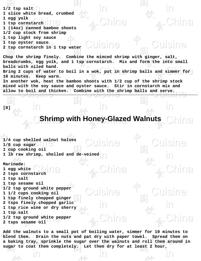<span id="page-92-0"></span>

**blend them. Drain the nuts and pat dry with paper towel. Spread them on a baking tray, sprinkle the sugar over the walnuts and roll them around in sugar to coat them completely. Let them dry for at least 2 hour,**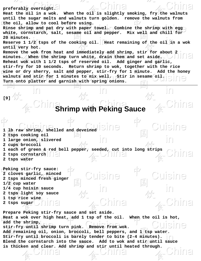<span id="page-93-0"></span>**preferably overnight. Heat the oil in a wok. When the oil is slightly smoking, fry the walnuts until the sugar melts and walnuts turn golden. remove the walnuts from the oil, allow to cool before using. Rinse shrimp and pat dry with paper towel. Combine the shrimp with egg white, cornstarch, salt, sesame oil and pepper. Mix well and chill for 20 minutes. Reserve 1 1/2 tsps of the cooking oil. Heat remaining of the oil in a wok until very hot. Remove the wok from heat and immediately add shrimp, stir for about 2 minutes. When the shrimp turn white, drain them and set aside. Reheat wok with 1 1/2 tsps of reserved oil. Add ginger and garlic, stir-fry for 10 seconds. Return shrimp to wok, together with the rice wine or dry sherry, salt and pepper, stir-fry for 1 minute. Add the honey walnuts and stir for 1 minutes to mix well. Stir in sesame oil. Turn onto platter and garnish with spring onions. [9] Shrimp with Peking Sauce 1 lb raw shrimp, shelled and deveined 2 tsps cooking oil 1 large onion, slivered 2 cups broccoli 1 each of green & red bell pepper, seeded, cut into long strips 2 tsps cornstarch 2 tsps water Peking stir-fry sauce: 2 cloves garlic, minced 2 tsps minced fresh ginger 1/2 cup water** in<br><sub>A-</sub>China **1/4 cup hoisin sauce 2 tsps light soy sauce 1 tsp rice wine 2 tsps sugar Prepare Peking stir-fry sauce and set aside. Heat a wok over high heat, add 1 tsp of the oil. When the oil is hot, add the shrimp, stir-fry until shrimp turn pink. Remove from wok. Add remaining oil, onion, broccoli, bell peppers, and 1 tsp water. Stir-fry until broccoli is barely tender to bite (2-4 minutes). Blend the cornstarch into the sauce. Add to wok and stir until sauce is thicken and clear. Add shrimp and stir until heated through.**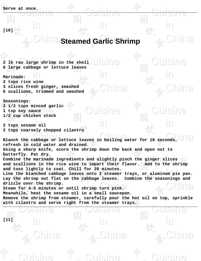<span id="page-94-0"></span>

<span id="page-94-1"></span>

... Cuisine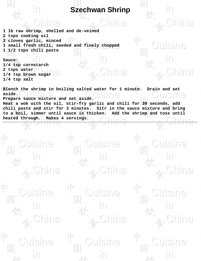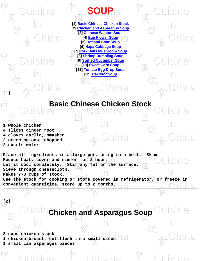<span id="page-96-1"></span><span id="page-96-0"></span>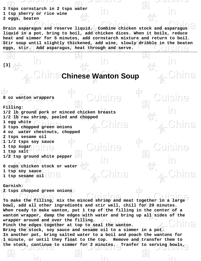<span id="page-97-0"></span>**3 tsps cornstarch in 2 tsps water 1 tsp sherry or rice wine 2 eggs, beaten Drain asparagus and reserve liquid. Combine chicken stock and asparagus liquid in a pot, bring to boil, add chicken dices. When it boils, reduce**  heat and simmer for 5 minutes, add cornstarch mixture and return to boil. **Stir soup until slightly thickened, add wine, slowly dribble in the beaten eggs, stir. Add asparagus, heat through and serve. [3]** 食令 **Chinese Wanton Soup**  $\frac{F}{\mathbb{E}}$  Cuisine <u>le</u> Cuisine **8 oz wanton wrappers Filling: 1/2 lb ground pork or minced chicken breasts 1/2 lb raw shrimp, peeled and chopped 1 egg white 3 tsps chopped green onions 4 oz water chestnuts, chopped 2 tsps sesame oil 1 1/2 tsps soy sauce** enisin **1 tsp sugar 1 tsp salt 1/2 tsp ground white pepper 6 cups chicken stock or water** snin **1 tsp soy sauce 1 tsp sesame oil Garnish: 2 tsps chopped green onions To make the filling, mix the minced shrimp and meat together in a large bowl, add all other ingredients and stir well, chill for 20 minutes. When ready to make wanton, put 1 tsp of the filling in the center of a wanton wrapper, damp the edges with water and bring up all sides of the wrapper around and over the filling. Pinch the edges together at top to seal the wanton. Bring the stock, soy sauce and sesame oil to a simmer in a pot. In another pot, bring salted water to a boil and poach the wantons for 1 minute, or until they float to the top. Remove and transfer them to** 

**the stock, continue to simmer for 2 minutes. Tranfer to serving bowls,**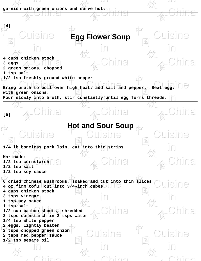<span id="page-98-1"></span><span id="page-98-0"></span>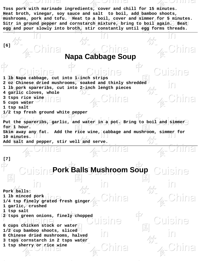<span id="page-99-1"></span><span id="page-99-0"></span>**Toss pork with marinade ingredients, cover and chill for 15 minutes. Heat broth, vinegar, soy sauce and salt to boil, add bamboo shoots, mushrooms, pork and tofu. Heat to a boil, cover and simmer for 5 minutes. Sitr in ground pepper and cornstarch mixture, bring to boil again. Beat egg and pour slowly into broth, stir constantly until egg forms threads. Napa Cabbage Soup [6]** <sub>金</sub>China Cuisine **1 lb Napa cabbage, cut into 1-inch strips 2 oz Chinese dried mushrooms, soaked and thinly shredded 1 lb pork spareribs, cut into 2-inch length pieces 4 garlic cloves, whole** <sub>食</sub>−China **3 tsps rice wine 5 cups water 1 tsp salt 1/2 tsp fresh ground white pepper Put the spareribs, garlic, and water in a pot. Bring to boil and simmer for 1 hour. Skim away any fat. Add the rice wine, cabbage and mushroom, simmer for 10 minutes. Add salt and pepper, stir well and serve. [7] Pork Balls Mushroom Soup** だだ **Pork balls: 1 lb minced pork** isnir **1/4 tsp finely grated fresh ginger 1 garlic, crushed 1 tsp salt 2 tsps green onions, finely chopped 6 cups chicken stock or water 1/2 cup bamboo shoots, sliced 8 Chinese dried mushrooms, halved 3 tsps cornstarch in 2 tsps water 1 tsp sherry or rice wine**ina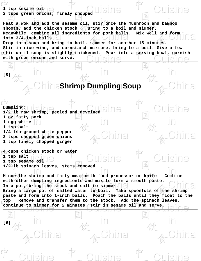<span id="page-100-1"></span><span id="page-100-0"></span>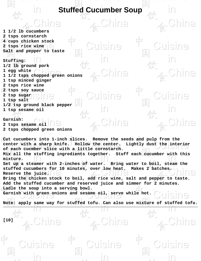## *I***n Stuffed Cucumber Soup**

## <span id="page-101-0"></span>் China

 $\mathbb{Z}_{\hat{\mathbb{R}}}^{\mathbb{C}}$ China ା<sub>∕ହ</sub>China  $\frac{1}{\sqrt{\frac{16}{16}}}}$ **1 1/2 lb cucumbers 2 tsps cornstarch 4 cups chicken stock** Cuisine<br>ain Cuisine **2 tsps rice wine Salt and pepper to taste Stuffing: 1/2 lb ground pork 1 egg white 1 1/2 tsps chopped green onions 1 tsp minced ginger 2 tsps rice wine 2 tsps soy sauce** Cuisine Cuisine **2 tsp sugar 1 tsp salt 1/2 tsp ground black pepper 1 tsp sesame oil** <sub>se</sub>China **Garnish: 2 tsps sesame oil 2 tsps chopped green onions Cut cucumbers into 1-inch slices. Remove the seeds and pulp from the center with a sharp knife. Hollow the center. Lightly dust the interior of each cucmber slice with a little cornstarch. Mix all the stuffing ingredients together. Stuff each cucumber with this mixture. Set up a steamer with 2-inches of water. Bring water to boil, steam the stuffed cucumbers for 10 minutes, over low heat. Makes 2 batches.**  vililis **Reserve the juice. Bring the chicken stock to boil, add rice wine, salt and pepper to taste. Add the stuffed cucumber and reserved juice and simmer for 2 minutes. Ladle the soup into a serving bowl.**  Garnish with green onions and sesame oil, serve while hot. annan d <u>amoin no</u> **Note: apply same way for stuffed tofu. Can also use mixture of stuffed tofu.** <sub>食</sub>China **[10]**enina  $\frac{f}{\mathbb{E}}$  Cuisine <sup>T</sup> cuisine Cuisine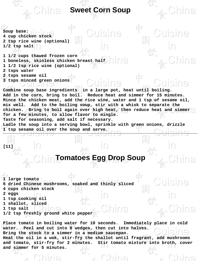<span id="page-102-0"></span>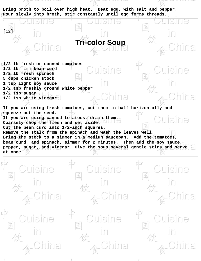<span id="page-103-0"></span>**Bring broth to boil over high heat. Beat egg, with salt and pepper. Pour slowly into broth, stir constantly until egg forms threads. [1<sup>3]</sup>**<br>微China **Tri-color Soup**  $\frac{f}{\mathbb{E}}$  Cuisine **1/2 lb fresh or canned tomatoes** Cuisine **1/2 lb firm bean curd**

**1/2 lb fresh spinach 5 cups chicken stock 1 tsp light soy sauce 1/2 tsp freshly ground white pepper 1/2 tsp sugar** <sub>a</sub>\_China – **1/2 tsp white vinegar**

**If you are using fresh tomatoes, cut them in half horizontally and squeeze out the seed. If you are using canned tomatoes, drain them.** 

Cuisine **Coarsely chop the flesh and set aside. Cut the bean curd into 1/2-inch squares. Remove the stalk from the spinach and wash the leaves well. Bring the stock to a simmer in a mediun saucepan. Add the tomatoes, bean curd, and spinach, simmer for 2 minutes. Then add the soy sauce, pepper, sugar, and vinegar. Give the soup several gentle stirs and serve at once.**

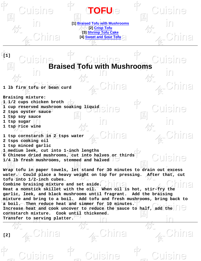<span id="page-104-1"></span><span id="page-104-0"></span>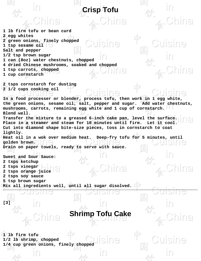<span id="page-105-0"></span>**Crisp Tofu** .China nina **1 lb firm tofu or bean curd 2 egg whites 2 green onions, finely chopped** Cuisine **1 tsp sesame oil Salt and pepper 1/2 tsp brown sugar 1 can (8oz) water chestnuts, chopped 4 dried Chinese mushrooms, soaked and chopped 1 tsp carrots, chopped 1 cup cornstarch 2 tsps cornstarch for dusting 2 1/2 cups cooking oil** 개기의 미우 **In a food processer or blender, process tofu, then work in 1 egg white, the green onions, sesame oil, salt, pepper and sugar. Add water chestnuts, mushrooms, carrots, remaining egg white and 1 cup of cornstarch. Blend well. Transfer the mixture to a greased 6-inch cake pan, level the surface. Place in a steamer and steam for 10 minutes until firm. Let it cool. Cut into diamond shape bite-size pieces, toss in cornstarch to coat lightly. Heat oil in a wok over medium heat. Deep-fry tofu for 5 minutes, until golden brown. Drain on paper towels, ready to serve with sauce.** Sweet and Sour Sauce: **2 tsps ketchup** ∡ China **2 tsps vinegar 2 tsps orange juice 2 tsps soy sauce 5 tsp brown sugar Mix all ingredients well, until all sugar disolved. [3] Shrimp Tofu Cake** China **1 lb firm tofu 1/2 lb shrimp, chopped 1/4 cup green onions, finely chopped**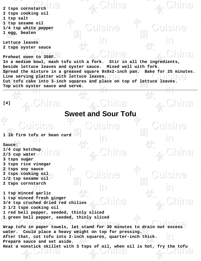<span id="page-106-0"></span>**2 tsps cornstarch 2 tsps cooking oil 1 tsp salt 1 tsp sesame oil 1/4 tsp white pepper 1 egg, beaten Lettuce leaves 2 tsps oyster sauce** s\_China -**Preheat oven to 350F. In a medium bowl, mash tofu with a fork. Stir in all the ingredients, beside lettuce leaves and oyster sauce. Mixed well with fork. Spread the mixture in a greased square 9x9x2-inch pan. Bake for 25 minutes. Line serving platter with lettuce leaves. Cut tofu cake into 3-inch squares and place on top of lettuce leaves. Top with oyster sauce and serve.** China  $\qquad \qquad \text{A.}$ China **[4] Sweet and Sour Tofu** Cuisine **1 lb firm tofu or bean curd Sauce: 1/4 cup ketchup 2/3 cup water 3 tsps sugar 3 tsps rice vinegar 2 tsps soy sauce 2 tsps cooking oil 1/2 tsp sesame oil 2 tsps cornstarch 1 tsp minced garlic 1 tsp minced fresh ginger 3/4 tsp cruched dried red chilies 3 1/2 tsps cooking oil 1 red bell pepper, seeded, thinly sliced 1 green bell pepper, seeded, thinly sliced Wrap tofu in paper towels, let stand for 30 minutes to drain out excess water. Could place a heavy weight on top for pressing. After that, cut tofu into 2-inch squares, quarter-inch thick. Prepare sauce and set aside. Heat a nonstick skillet with 3 tsps of oil, when oil is hot, fry the tofu**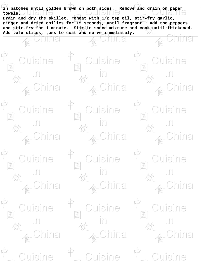**in batches until golden brown on both sides. Remove and drain on paper towels. Drain and dry the skillet, reheat with 1/2 tsp oil, stir-fry garlic, ginger and dried chilies for 15 seconds, until fragrant. Add the peppers**  and stir-fry for 1 minute. Stir in sauce mixture and cook until thickened. **Add tofu slices, toss to coat and serve immediately.JANAISI** 中<br>国 in<br>- 後 China 中国<br>- Cuisine<br>- 飲<br>- China 中<br>国<br>統 in<br>燃 chin こ<br>全 China 中<br>国 in<br>- 统 China 中<br>国<br>統 in<br>燃 chin **企China** 中<br>国 Cuisine<br>- 徐 Chin

中<br>- Cuisine

**A**China 中<br>L. Cuisine

中<br>風<br>統 in<br>食<br>China 中<br>L. Cuisine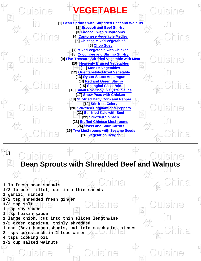<span id="page-108-0"></span>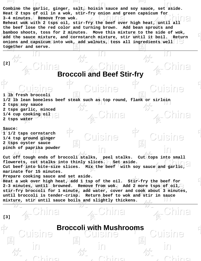**Combine the garlic, ginger, salt, hoisin sauce and soy sauce, set aside. Heat 2 tsps of oil in a wok, stir-fry onion and green capsicum for 3-4 minutes. Remove from wok.** 

**Reheat wok with 2 tsps oil, stir-fry the beef over high heat, until all the beef lose the red color and turning brown. Add bean sprouts and**  bamboo shoots, toss for 2 minutes. Move this mixture to the side of wok, **add the sauce mixture, and cornstarch mixture, stir until it boil. Return onions and capsicum into wok, add walnuts, toss all ingredients well together and serve.**

**Broccoli and Beef Stir-fry** 

Cuisine

 $\frac{1}{\mathbb{E}}$  Cuisine  $\frac{1}{\mathbb{E}}$  Cuisine

<sub>食</sub>−China

Cuisine **1 lb fresh broccoli 1/2 lb lean boneless beef steak such as top round, flank or sirloin 2 tsps soy sauce 2 tsps garlic, minced** <sub>食</sub>China

**1/4 cup cooking oil**

**2 tsps water**

**Sauce:**

<span id="page-109-0"></span>**[2]**

**1 1/2 tsps cornstarch 1/4 tsp ground ginger 2 tsps oyster sauce pinch of paprika powder**

**Cut off tough ends of broccoli stalks, peel stalks. Cut tops into small**  flowerets, cut stalks into thinly slices. Set aside. **Cut beef into bite-size slices. Mix the beef with soy sauce and garlic, marinate for 15 minutes.**

**Prepare cooking sauce and set aside.** Heat a wok over high heat, add 1 tsp of the oil. Stir-fry the beef for **2-3 minutes, until browned. Remove from wok. Add 2 more tsps of oil, stir-fry broccoli for 1 minute, add water, cover and cook about 3 minutes, until broccoli is tender-crisp. Return beef to wok and stir in sauce mixture, stir until sauce boils and slightly thickens.** 

<span id="page-109-1"></span><sub>se</sub>China <sub>∦≻</sub>China <sub>∕≵</sub> China **[3] Broccoli with Mushrooms**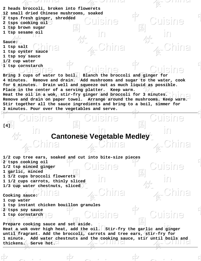<span id="page-110-0"></span>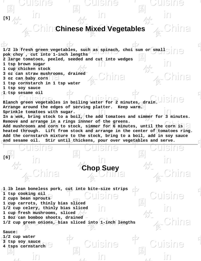<span id="page-111-1"></span><span id="page-111-0"></span>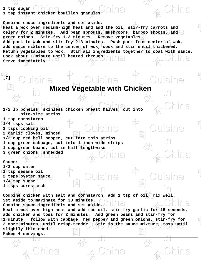<span id="page-112-0"></span><sub>ĝ</sub>\_China **1 tsp sugar 1 tsp instant chicken bouillon granules Combine sauce ingredients and set aside. Heat a wok over medium-high heat and add the oil, stir-fry carrots and celery for 2 minutes. Add bean sprouts, mushrooms, bamboo shoots, and green onions. Stir-fry 1-2 minutes. Remove vegetables. Add pork to wok and stir-fry 2-3 minutes. Push pork from center of wok,**  add sauce mixture to the center of wok, cook and stir until thickened. **Return vegetables to wok. Stir all ingredients together to coat with sauce. Cook about 1 minute until heated through. Serve immediately. Mixed Vegetable with Chicken [7]** uisine **1/2 lb bonelss, skinless chicken breast halves, cut into bite-size strips 1 tsp cornstarch 1/4 tsps salt 3 tsps cooking oil 2 garlic cloves, minced 1/2 cup red bell pepper, cut into thin strips 1 cup green cabbage, cut into 1-inch wide strips 1 cup green beans, cut in half lengthwise 3 green onions, shredded** uu isi **Sauce: 1/2 cup water 1 tsp sesame oil**  $\frac{\mathcal{F}}{\mathbb{E}}$  Cui isine **2 tsps oyster sauce 1/4 tsp sugar 1 tsps cornstarch Combine chicken with salt and cornstarch, add 1 tsp of oil, mix well. Set aside to marinate for 30 minutes. Combine sauce ingredients and set aside. Heat a wok over high heat and add the oil, stir-fry garlic for 15 seconds, add chicken and toss for 2 minutes. Add green beans and stir-fry for 1 minute, follow with cabbage, red pepper and green onions, stir-fry for 2 more minutes, unitl crisp-tender. Stir in the sauce mixture, toss until slightly thickened. Makes 4 servings.**<sub>o</sub>echina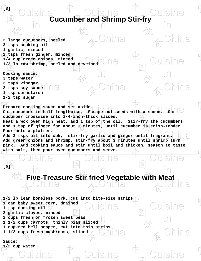#### <span id="page-113-1"></span><span id="page-113-0"></span>**[8] Culsine Culsine Culsine** <sub>o</sub> China **2 large cucumbers, peeled 3 tsps cooking oil 1 garlic, minced 2 tsps fresh ginger, minced**  $\frac{f}{\mathbb{E}}$  Cuisine **1/4 cup green onions, minced 1/2 lb raw shrimp, peeled and deveined Cooking sauce: 3 tsps water 2 tsps vinegar** <sub>食~</sub>China ∣ **2 tsps soy sauce 1 tsp cornstarch 1/2 tsp sugar Prepare cooking sauce and set aside. Cut cucumber in half lengthwise, Scrape out seeds with a spoon. Cut cucumber crosswise into 1/4-inch-thick slices. Heat a wok over high heat, add 1 tsp of the oil. Stir-fry the cucumbers and 1 tsp of ginger for about 3 minutes, until cucumber is crisp-tender. Pour onto a platter. Add 2 tsps oil into wok, stir-fry garlic and ginger until fragrant. Add green onions and shrimp, stir-fry about 3 minutes until shrimp turn pink. Add cooking sauce and stir until boil and thicken, season to taste with salt, then pour over cucumbers and serve. [9] Five-Treasure Stir fried Vegetable with Meat 1/2 lb lean boneless pork, cut into bite-size strips 1 can baby sweet corn, drained 1 tsp cooking oil 2 garlic cloves, minced 2 cups fresh or frozen sweet peas** 饺 **1 1/2 cups carrots, thinly bias sliced 1 cup red bell pepper, cut into thin strips 1 1/2 cups fresh mushrooms, sliced Sauce: 1/2 cup water**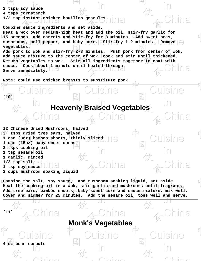<span id="page-114-1"></span><span id="page-114-0"></span>**2 tsps soy sauce 4 tsps cornstarch 1/2 tsp instant chicken bouillon granules** IINSI **Combine sauce ingredients and set aside. Heat a wok over medium-high heat and add the oil, stir-fry garlic for 15 seconds, add carrots and stir-fry for 3 minutes. Add sweet peas, mushrooms, bell pepper, and baby corn. Stir-fry 1-2 minutes. Remove vegetables. Add pork to wok and stir-fry 2-3 minutes. Push pork from center of wok,**  add sauce mixture to the center of wok, cook and stir until thickened. **Return vegetables to wok. Stir all ingredients together to coat with sauce. Cook about 1 minute until heated through. Serve immediately. Note: could use chicken breasts to substitute pork.**   $\frac{1}{\sqrt{101}}$  Cuisine T<sub>El</sub> Cuisine Cuisine **Heavenly Braised Vegetables 12 Chinese dried Mushrooms, halved 3 tsps dried tree ears, halved** <sup>子</sup><br>国 Cuisine 1 can (8oz) bamboo shoots, thinly sliced  $\bigcap$ **1 can (15oz) baby sweet corns** ■<br>饮 回 **2 tsps cooking oil 1 tsp sesame oil 1 garlic, minced 1/2 tsp salt** <sub>ke</sub>China <sub>na</sub>  $\frac{1}{\sqrt{2}}$  tsp soy sauce<sup> $\left[\right]$ </sup> **2 cups mushroom soaking liquid Combine the salt, soy sauce, and mushroom soaking liquid, set aside. Heat the cooking oil in a wok, stir garlic and mushrooms until fragrant. Add tree ears, bamboo shoots, baby sweet corn and sauce mixture, mix well. Cover and simmer for 25 minutes. Add the sesame oil, toss well and serve.** *China* **Monk's Vegetables [11]** 、<br>国 Cuisine **4 oz bean sprouts**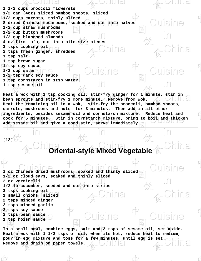**1 1/2 cups broccoli flowerets 1/2 can (4oz) sliced bamboo shoots, sliced 1/2 cups carrots, thinly sliced 8 dried Chinese mushrooms, soaked and cut into halves 1/2 cup straw mushrooms 1/2 cup button mushrooms 1/2 cup blanched almonds 4 oz firm tofu, cut into bite-size pieces 3 tsps cooking oil** i amil **2 tsps fresh ginger, shredded 1 tsp salt 1 tsp brown sugar 1 tsp soy sauce** isine **1/2 cup water 1/2 tsp dark soy sauce 1 tsp cornstarch in 1tsp water 1 tsp sesame oil Heat a wok with 1 tsp cooking oil, stir-fry ginger for 1 minute, stir in bean sprouts and stir-fry 1 more minute. Remove from wok. Heat the remaining oil in a wok, stir-fry the broccoli, bamboo shoots, carrots, mushrooms and nuts for 3 minutes. Then add in all other** 

**cook for 5 minutes. Stir in cornstarch mixture, bring to boil and thicken. Add sesame oil and give a good stir, serve immediately.**

<span id="page-115-0"></span>**[12]**

## **Oriental-style Mixed Vegetable**

**ingredients, besides sesame oil and cornstarch mixture. Reduce heat and** 

 $-1$ **1 oz Chinese dried mushrooms, soaked and thinly sliced 1/2 oz cloud ears, soaked and thinly sliced 2 oz vermicelli 1/2 lb cucumber, seeded and cut into strips 3 tsps cooking oil 1 small onions, sliced 2 tsps minced ginger 2 tsps minced garlic 3 tsps soy sauce** Cuisine **2 tsps bean sauce 1 tsp hoisn sauce In a small bowl, combine eggs, salt and 2 tsps of sesame oil, set aside. Heat a wok with 1 1/2 tsps of oil, when its hot, reduce heat to medium, pour in egg mixture and toss for a few minutes, until egg is set. Remove and drain on paper towels.**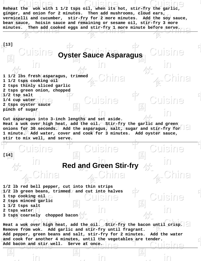<span id="page-116-1"></span><span id="page-116-0"></span>**Reheat the wok with 1 1/2 tsps oil, when its hot, stir-fry the garlic, ginger, and onion for 2 minutes. Then add mushrooms, cloud ears, vermicelli and cucumber, stir-fry for 2 more minutes. Add the soy sauce, bean sauce, hoisin sauce and remaining or sesame oil, stir-fry 3 more minutes. Then add cooked eggs and stir-fry 1 more minute before serve. [13] Oyster Sauce Asparagus** Cuisine **1 1/2 lbs fresh asparagus, trimmed** isinin **1 1/2 tsps cooking oil 2 tsps thinly sliced garlic 2 tsps green onion, chopped** <sup>乎</sup>国 Cuisine **1/2 tsp salt** Cuisine **1/4 cup water 2 tsps oyster sauce pinch of sugar Cut asparagus into 3-inch lengths and set aside. Heat a wok over high heat, add the oil. Stir-fry the garlic and green onions for 30 seconds. Add the asparagus, salt, sugar and stir-fry for 1 minute. Add water, cover and cook for 3 minutes. Add oyster sauce, stir to mix well, and serve.** Cuisine **[14] Red and Green Stir-fry** <sub>4≻</sub>China <sub>∯</sub>\_China **1/2 lb red bell pepper, cut into thin strips 1/2 lb green beans, trimmed and cut into halves 1 tsp cooking oil 2 tsps minced garlic 1 1/2 tsps salt 2 tsps water 3 tsps coarsely chopped bacon Heat a wok over high heat, add the oil. Stir-fry the bacon until crisp. Remove from wok. Add garlic and stir-fry until fragrant. Add pepper, green beans and salt, stir-fry for 2 minutes. Add the water and cook for another 4 minutes, until the vegetables are tender. Add bacon and stir well. Serve at once.**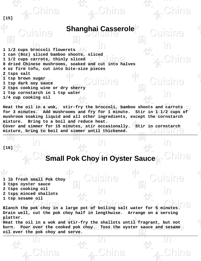<span id="page-117-1"></span><span id="page-117-0"></span>

| <sub>t≩</sub> China                                                                                                                                                 | ,<br>《 China                                                                                                                                        | - <sub>渝</sub> -China |  |
|---------------------------------------------------------------------------------------------------------------------------------------------------------------------|-----------------------------------------------------------------------------------------------------------------------------------------------------|-----------------------|--|
| $[15]$                                                                                                                                                              |                                                                                                                                                     |                       |  |
| <sub>1</sub> Cuisine                                                                                                                                                | Shanghai Casserole                                                                                                                                  | Cuisine               |  |
|                                                                                                                                                                     |                                                                                                                                                     |                       |  |
| 1 1/2 cups broccoli flowerets /                                                                                                                                     |                                                                                                                                                     |                       |  |
| 1 can (8oz) sliced bamboo shoots, sliced<br>1 1/2 cups carrots, thinly sliced                                                                                       |                                                                                                                                                     | <sub>ക</sub> China    |  |
|                                                                                                                                                                     | 8 dried Chinese mushrooms, soaked and cut into halves                                                                                               |                       |  |
| 4 oz firm tofu, cut into bite-size pieces                                                                                                                           |                                                                                                                                                     |                       |  |
| 2 tsps salt                                                                                                                                                         |                                                                                                                                                     |                       |  |
| 1 tsp brown sugar<br>1 tsp dark soy sauce                                                                                                                           | Cuisine                                                                                                                                             | <b>Cuisine</b>        |  |
| 2 tsps cooking wine or dry sherry                                                                                                                                   |                                                                                                                                                     |                       |  |
| 1 tsp cornstarch in 1 tsp water                                                                                                                                     |                                                                                                                                                     |                       |  |
| 1/4 cup cooking oil                                                                                                                                                 |                                                                                                                                                     |                       |  |
|                                                                                                                                                                     | Heat the oil in a wok, stir-fry the broccoli, bamboo shoots and carrots<br>for 3 minutes. Add mushrooms and fry for 1 minute. Stir in 1 1/2 cups of |                       |  |
|                                                                                                                                                                     | mushroom soaking liquid and all other ingredients, except the cornstarch                                                                            |                       |  |
| mixture. Bring to a boil and reduce heat.                                                                                                                           | Cover and simmer for 15 minutes, stir occasionally. Stir in cornstarch                                                                              |                       |  |
| mixture, bring to boil and simmer until thickened.                                                                                                                  |                                                                                                                                                     |                       |  |
|                                                                                                                                                                     |                                                                                                                                                     |                       |  |
|                                                                                                                                                                     |                                                                                                                                                     |                       |  |
|                                                                                                                                                                     |                                                                                                                                                     |                       |  |
|                                                                                                                                                                     |                                                                                                                                                     |                       |  |
| [161]                                                                                                                                                               |                                                                                                                                                     |                       |  |
|                                                                                                                                                                     | <b>Small Pok Choy in Oyster Sauce China</b>                                                                                                         |                       |  |
|                                                                                                                                                                     |                                                                                                                                                     |                       |  |
|                                                                                                                                                                     |                                                                                                                                                     |                       |  |
|                                                                                                                                                                     |                                                                                                                                                     |                       |  |
|                                                                                                                                                                     |                                                                                                                                                     |                       |  |
|                                                                                                                                                                     |                                                                                                                                                     |                       |  |
| The fresh small Pok choy<br>The Suising Cuising Cuising<br>2 tsps cooking oil<br>2 tsps/minced shallots<br>1 tsp sesame oil<br>1 tsp sesame oil<br>1 tsp sesame oil |                                                                                                                                                     |                       |  |
|                                                                                                                                                                     |                                                                                                                                                     |                       |  |
|                                                                                                                                                                     | Blanch the pok choy in a large pot of boiling salt water for 5 minutes.                                                                             |                       |  |
| platter.                                                                                                                                                            | Drain well, cut the pok choy half in lengthwise. Arrange on a serving                                                                               |                       |  |
|                                                                                                                                                                     | Heat the oil in a wok and stir-fry the shallots until fragrant, but not                                                                             |                       |  |
|                                                                                                                                                                     | burn. Pour over the cooked pok choy. Toss the oyster sauce and sesame                                                                               |                       |  |
| oil over the pok choy and serve.                                                                                                                                    |                                                                                                                                                     |                       |  |
|                                                                                                                                                                     |                                                                                                                                                     |                       |  |
|                                                                                                                                                                     | .<br>China                                                                                                                                          |                       |  |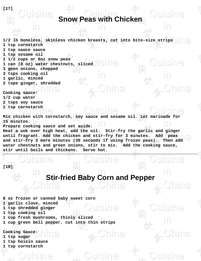# **Snow Peas with Chicken Club**<br>The Snow Peas with Chicken

<span id="page-118-0"></span>**[17]**

<span id="page-118-1"></span>**1/2 lb boneless, skinless chicken breasts, cut into bite-size strips 1 tsp cornstarch 1 tsp sauce sauce 1 tsp sesame oil** キ<br>- 風 - in<br>- 飲 - Chia **1 1/2 cups or 6oz snow peas 1 can (8 oz) water chestnuts, sliced 3 geen onions, chopped 3 tsps cooking oil 1 garlic, minced 2 tsps ginger, shredded** hina **Cooking sauce: 1/2 cup water 2 tsps soy sauce 1 tsp cornstarch** üllsine bulle **Mix chicken with cornstarch, soy sauce and sesame oil. Let marinade for 15 minutes. Prepare cooking sauce and set aside. Heat a wok over high heat, add the oil. Stir-fry the garlic and ginger until fragrant. Add the chicken and stir-fry for 3 minutes. Add peas and stir-fry 3 more minutes (30 seconds if using frozen peas). Then add water chestnuts and green onions, stir to mix. Add the cooking sauce, stir until boils and thickens. Serve hot.** Cuisine **[18] Stir-fried Baby Corn and Pepper**<br>**Example 19 April 19 April 19 April 19 April 19 April 19 April 19 April 19 April 19 April 19 April 19 April 19 April 19 April 19 April 19 April 19 April 19 April 19 April 19 April 19 April** Gnina **8 oz frozen or canned baby sweet corn**  <sup>ザ</sup><br>国 Cuisine **1 garlic clove, minced 1 tsp shredded ginger 1 tsp cooking oil 1 cup fresh mushrooms, thinly sliced** "<br>饮 <sup>1</sup> **1 cup green bell pepper, cut into thin strips Cooking Sauce:** China **1 tsp sugar 1 tsp hoisin sauce 1 tsp cornstarch**entsine Cuisine Cuisine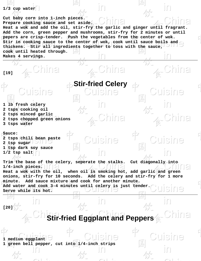<span id="page-119-1"></span><span id="page-119-0"></span>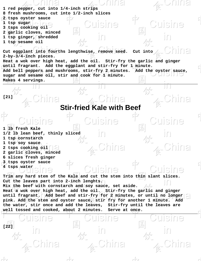<span id="page-120-1"></span><span id="page-120-0"></span>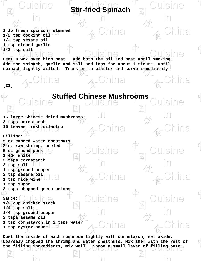<span id="page-121-0"></span>

**Coarsely chopped the shrimp and water chestnuts. Mix them with the rest of the fiiling ingredients, mix well. Spoon a small layer of filling onto**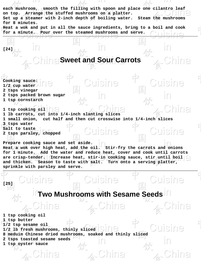<span id="page-122-1"></span><span id="page-122-0"></span>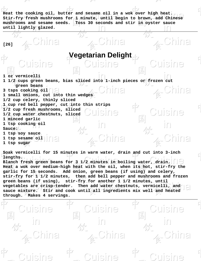**Heat the cooking oil, butter and sesame oil in a wok over high heat. Stir-fry fresh mushrooms for 1 minute, until begin to brown, add Chinese mushrooms and sesame seeds. Toss 30 seconds and stir in oyster sauce until lightly glazed.** 

<span id="page-123-0"></span><sub>∕≵</sub>\_China **[26]**

**Vegetarian Delight** 

- ∦ China

Cuisine

**1 oz vermicelli**

**1 1/2 cups green beans, bias sliced into 1-inch pieces or frozen cut green beans**  LChina

**3 tsps cooking oil**

**1 small onions, cut into thin wedges**

**1/2 cup celery, thinly sliced**

Cuisine

**1 cup red bell pepper, cut into thin strips**

**1/2 cup fresh mushrooms, sliced**

**1/2 cup water chestnuts, sliced**

- **1 minced garlic 1 tsp cooking oil**
- **Sauce:**

**1 tsp soy sauce 1** tsp sesame  $\begin{bmatrix} 0 & 1 \\ 1 & 0 \end{bmatrix}$ 

**1 tsp sugar**

**Soak vermicelli for 15 minutes in warm water, drain and cut into 3-inch lengths. Blanch fresh green beans for 3 1/2 minutes in boiling water, drain. Heat a wok over medium-high heat with the oil, when its hot, stir-fry the garlic for 15 seconds. Add onion, green beans (if using) and celery, stir-fry for 1 1/2 minutes, then add bell pepper and mushrooms and frozen green beans (if using), stir-fry for another 1 1/2 minutes, until vegetables are crisp-tender. Then add water chestnuts, vermicelli, and** 

**sauce mixture. Stir and cook until all ingredients mix well and heated through. Makes 4 servings.**

*<sub>企</sub>China* 

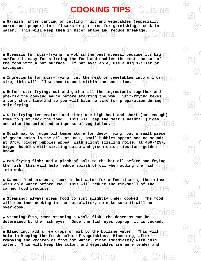### **COOKING TIPS** Cuisine

● **Garnish; after carving or cutting fruit and vegetables (especially carrot and pepper) into flowers or patterns for garnishing, soak in water. This will keep them in nicer shape and reduce breakage.** 

Cuisine l

● **Utensils for stir-frying; a wok is the best utensil because its big surface is easy for stirring the food and enables the most contact of the food with a hot surface. If not available, use a big skillet or saucepan.** 

● **Ingredients for stir-frying; cut the meat or vegetables into uniform size, this will allow them to cook within the same time.** 

● **Before stir-frying; cut and gather all the ingredients together and pre-mix the cooking sauce before starting the wok. Stir-frying takes a very short time and so you will have no time for preparation during stir-frying.**

● **Stir-frying temperature and time; use high heat and short (but enough) time to just cook the food. This will cap the meat's natural juices, and also the color and crispness of vegetables.** 

● **Quick way to judge oil temperature for deep-frying; put a small piece of green onion in the oil- at 350F, small bubbles appear and no sound; at 375F, bigger bubbles appear with slight sizzling noise; at 400-425F, bigger bubbles with sizzling noise and green onion tips turn golden brown.**

● **Pan-frying fish; add a pinch of salt to the hot oil before pan-frying the fish, this will help reduce splash of oil when adding the fish into wok.** euilisi FII FSI

● **Canned food products; soak in hot water for a few minutes, then rinse with cold water before use. This will reduce the tin-smell of the canned food products.**

● **Steaming; always steam food to just slightly under cooked. The food will continue cooking in the hot platter, so make sure it will not over cook.** 

● **Steaming fish; when steaming a whole fish, the doneness can be determined by the fish eyes. Once the fish eyes pop-up, it is cooked.**

● **Blanching; add a few drops of oil to the boiling water. This will help in keeping the fresh color of vegetables.· Blanching; after removing the vegetables from hot water, rinse immediately with cold water. This will keep the color, and vegetables are more tender and**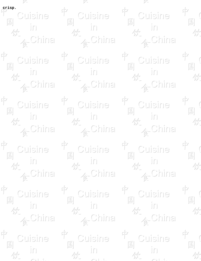$\mathbb{R}$  and  $\mathbb{R}$  $\mathbb{R}$  $\mathbb{R}$ **crisp.**中国饮 中<br>国 in<br>- - 全 China 中<br>图<br>加<br>俞<br>(hina<br>《 中<br>国 Cuisine<br>- 食 China 中<br>国 in<br>- - 全 China 中国饮 中<br>国 in<br>- - - 全 China 中<br>国 in<br>- - - 全 China 中国饮 中<br>国 in<br><br><sub>食</sub> China 中<br>国 Cuisine 中<br>国 Cuisine 「<br><br><br><br><br><br><br><br><br><br><br><br><br><br><br><br><br><br><br><br><br><br><br><br>